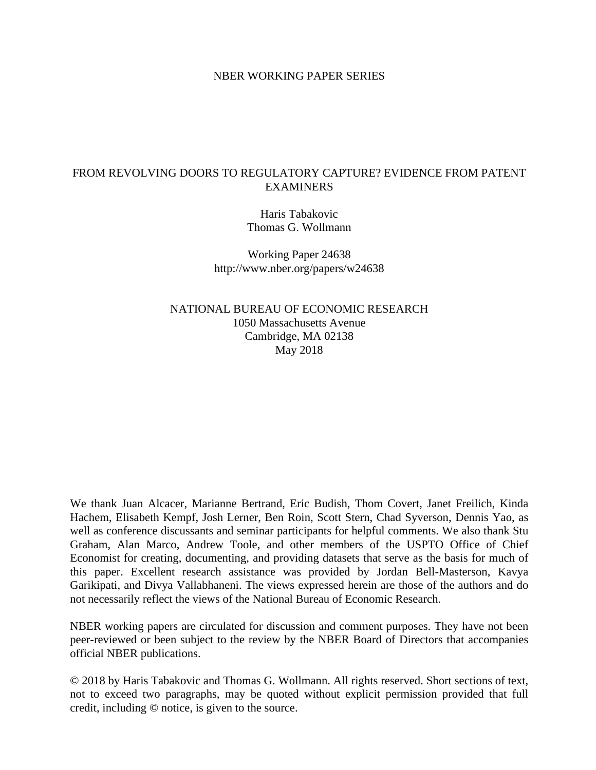## NBER WORKING PAPER SERIES

## FROM REVOLVING DOORS TO REGULATORY CAPTURE? EVIDENCE FROM PATENT EXAMINERS

Haris Tabakovic Thomas G. Wollmann

Working Paper 24638 http://www.nber.org/papers/w24638

NATIONAL BUREAU OF ECONOMIC RESEARCH 1050 Massachusetts Avenue Cambridge, MA 02138 May 2018

We thank Juan Alcacer, Marianne Bertrand, Eric Budish, Thom Covert, Janet Freilich, Kinda Hachem, Elisabeth Kempf, Josh Lerner, Ben Roin, Scott Stern, Chad Syverson, Dennis Yao, as well as conference discussants and seminar participants for helpful comments. We also thank Stu Graham, Alan Marco, Andrew Toole, and other members of the USPTO Office of Chief Economist for creating, documenting, and providing datasets that serve as the basis for much of this paper. Excellent research assistance was provided by Jordan Bell-Masterson, Kavya Garikipati, and Divya Vallabhaneni. The views expressed herein are those of the authors and do not necessarily reflect the views of the National Bureau of Economic Research.

NBER working papers are circulated for discussion and comment purposes. They have not been peer-reviewed or been subject to the review by the NBER Board of Directors that accompanies official NBER publications.

© 2018 by Haris Tabakovic and Thomas G. Wollmann. All rights reserved. Short sections of text, not to exceed two paragraphs, may be quoted without explicit permission provided that full credit, including © notice, is given to the source.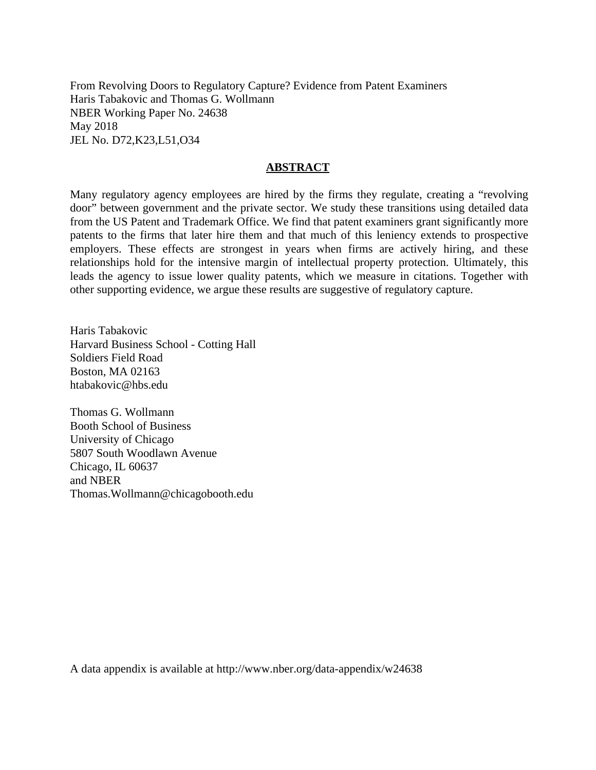From Revolving Doors to Regulatory Capture? Evidence from Patent Examiners Haris Tabakovic and Thomas G. Wollmann NBER Working Paper No. 24638 May 2018 JEL No. D72,K23,L51,O34

## **ABSTRACT**

Many regulatory agency employees are hired by the firms they regulate, creating a "revolving door" between government and the private sector. We study these transitions using detailed data from the US Patent and Trademark Office. We find that patent examiners grant significantly more patents to the firms that later hire them and that much of this leniency extends to prospective employers. These effects are strongest in years when firms are actively hiring, and these relationships hold for the intensive margin of intellectual property protection. Ultimately, this leads the agency to issue lower quality patents, which we measure in citations. Together with other supporting evidence, we argue these results are suggestive of regulatory capture.

Haris Tabakovic Harvard Business School - Cotting Hall Soldiers Field Road Boston, MA 02163 htabakovic@hbs.edu

Thomas G. Wollmann Booth School of Business University of Chicago 5807 South Woodlawn Avenue Chicago, IL 60637 and NBER Thomas.Wollmann@chicagobooth.edu

A data appendix is available at http://www.nber.org/data-appendix/w24638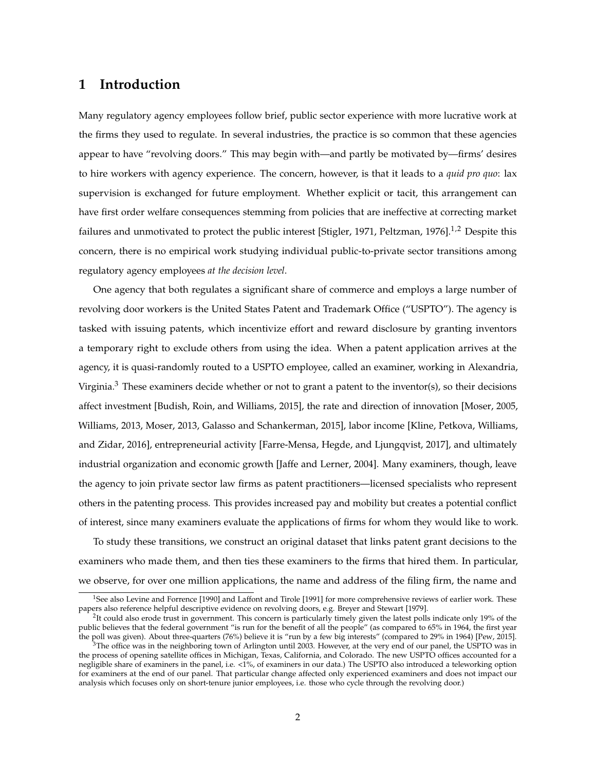## **1 Introduction**

Many regulatory agency employees follow brief, public sector experience with more lucrative work at the firms they used to regulate. In several industries, the practice is so common that these agencies appear to have "revolving doors." This may begin with—and partly be motivated by—firms' desires to hire workers with agency experience. The concern, however, is that it leads to a *quid pro quo*: lax supervision is exchanged for future employment. Whether explicit or tacit, this arrangement can have first order welfare consequences stemming from policies that are ineffective at correcting market failures and unmotivated to protect the public interest [Stigler, 1971, Peltzman, 1976].<sup>1,2</sup> Despite this concern, there is no empirical work studying individual public-to-private sector transitions among regulatory agency employees *at the decision level*.

One agency that both regulates a significant share of commerce and employs a large number of revolving door workers is the United States Patent and Trademark Office ("USPTO"). The agency is tasked with issuing patents, which incentivize effort and reward disclosure by granting inventors a temporary right to exclude others from using the idea. When a patent application arrives at the agency, it is quasi-randomly routed to a USPTO employee, called an examiner, working in Alexandria, Virginia.<sup>3</sup> These examiners decide whether or not to grant a patent to the inventor(s), so their decisions affect investment [Budish, Roin, and Williams, 2015], the rate and direction of innovation [Moser, 2005, Williams, 2013, Moser, 2013, Galasso and Schankerman, 2015], labor income [Kline, Petkova, Williams, and Zidar, 2016], entrepreneurial activity [Farre-Mensa, Hegde, and Ljungqvist, 2017], and ultimately industrial organization and economic growth [Jaffe and Lerner, 2004]. Many examiners, though, leave the agency to join private sector law firms as patent practitioners—licensed specialists who represent others in the patenting process. This provides increased pay and mobility but creates a potential conflict of interest, since many examiners evaluate the applications of firms for whom they would like to work.

To study these transitions, we construct an original dataset that links patent grant decisions to the examiners who made them, and then ties these examiners to the firms that hired them. In particular, we observe, for over one million applications, the name and address of the filing firm, the name and

<sup>&</sup>lt;sup>1</sup>See also Levine and Forrence [1990] and Laffont and Tirole [1991] for more comprehensive reviews of earlier work. These papers also reference helpful descriptive evidence on revolving doors, e.g. Breyer and Stewart [1979].

<sup>&</sup>lt;sup>2</sup>It could also erode trust in government. This concern is particularly timely given the latest polls indicate only 19% of the public believes that the federal government "is run for the benefit of all the people" (as compared to 65% in 1964, the first year the poll was given). About three-quarters (76%) believe it is "run by a few big interests" (compared to 29% in 1964) [Pew, 2015].

<sup>3</sup>The office was in the neighboring town of Arlington until 2003. However, at the very end of our panel, the USPTO was in the process of opening satellite offices in Michigan, Texas, California, and Colorado. The new USPTO offices accounted for a negligible share of examiners in the panel, i.e. <1%, of examiners in our data.) The USPTO also introduced a teleworking option for examiners at the end of our panel. That particular change affected only experienced examiners and does not impact our analysis which focuses only on short-tenure junior employees, i.e. those who cycle through the revolving door.)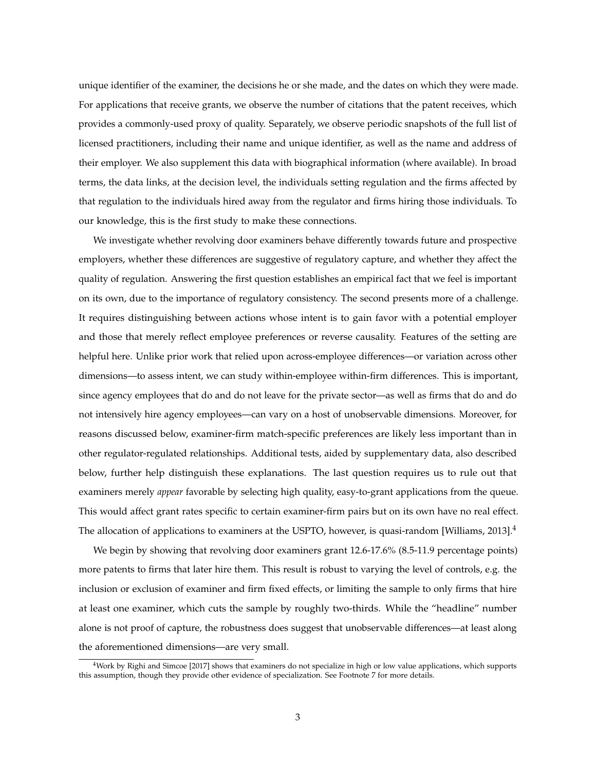unique identifier of the examiner, the decisions he or she made, and the dates on which they were made. For applications that receive grants, we observe the number of citations that the patent receives, which provides a commonly-used proxy of quality. Separately, we observe periodic snapshots of the full list of licensed practitioners, including their name and unique identifier, as well as the name and address of their employer. We also supplement this data with biographical information (where available). In broad terms, the data links, at the decision level, the individuals setting regulation and the firms affected by that regulation to the individuals hired away from the regulator and firms hiring those individuals. To our knowledge, this is the first study to make these connections.

We investigate whether revolving door examiners behave differently towards future and prospective employers, whether these differences are suggestive of regulatory capture, and whether they affect the quality of regulation. Answering the first question establishes an empirical fact that we feel is important on its own, due to the importance of regulatory consistency. The second presents more of a challenge. It requires distinguishing between actions whose intent is to gain favor with a potential employer and those that merely reflect employee preferences or reverse causality. Features of the setting are helpful here. Unlike prior work that relied upon across-employee differences—or variation across other dimensions—to assess intent, we can study within-employee within-firm differences. This is important, since agency employees that do and do not leave for the private sector—as well as firms that do and do not intensively hire agency employees—can vary on a host of unobservable dimensions. Moreover, for reasons discussed below, examiner-firm match-specific preferences are likely less important than in other regulator-regulated relationships. Additional tests, aided by supplementary data, also described below, further help distinguish these explanations. The last question requires us to rule out that examiners merely *appear* favorable by selecting high quality, easy-to-grant applications from the queue. This would affect grant rates specific to certain examiner-firm pairs but on its own have no real effect. The allocation of applications to examiners at the USPTO, however, is quasi-random [Williams, 2013].<sup>4</sup>

We begin by showing that revolving door examiners grant 12.6-17.6% (8.5-11.9 percentage points) more patents to firms that later hire them. This result is robust to varying the level of controls, e.g. the inclusion or exclusion of examiner and firm fixed effects, or limiting the sample to only firms that hire at least one examiner, which cuts the sample by roughly two-thirds. While the "headline" number alone is not proof of capture, the robustness does suggest that unobservable differences—at least along the aforementioned dimensions—are very small.

<sup>4</sup>Work by Righi and Simcoe [2017] shows that examiners do not specialize in high or low value applications, which supports this assumption, though they provide other evidence of specialization. See Footnote 7 for more details.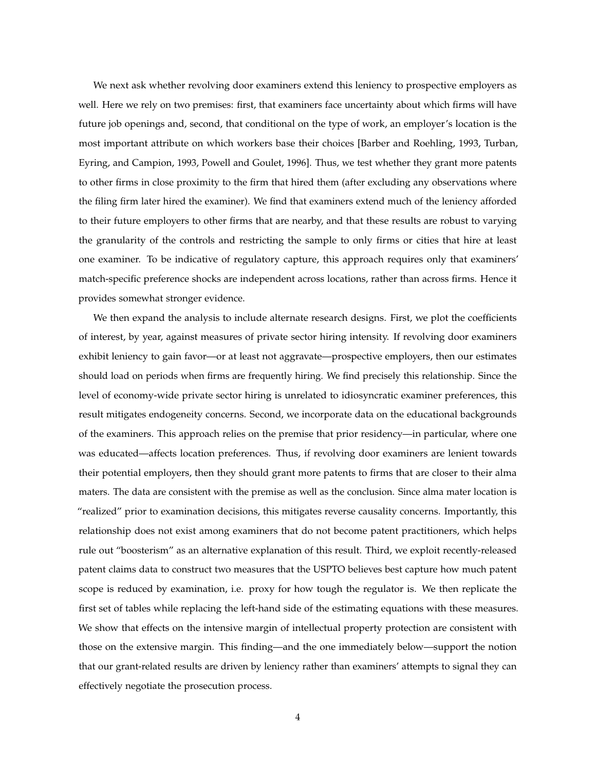We next ask whether revolving door examiners extend this leniency to prospective employers as well. Here we rely on two premises: first, that examiners face uncertainty about which firms will have future job openings and, second, that conditional on the type of work, an employer's location is the most important attribute on which workers base their choices [Barber and Roehling, 1993, Turban, Eyring, and Campion, 1993, Powell and Goulet, 1996]. Thus, we test whether they grant more patents to other firms in close proximity to the firm that hired them (after excluding any observations where the filing firm later hired the examiner). We find that examiners extend much of the leniency afforded to their future employers to other firms that are nearby, and that these results are robust to varying the granularity of the controls and restricting the sample to only firms or cities that hire at least one examiner. To be indicative of regulatory capture, this approach requires only that examiners' match-specific preference shocks are independent across locations, rather than across firms. Hence it provides somewhat stronger evidence.

We then expand the analysis to include alternate research designs. First, we plot the coefficients of interest, by year, against measures of private sector hiring intensity. If revolving door examiners exhibit leniency to gain favor—or at least not aggravate—prospective employers, then our estimates should load on periods when firms are frequently hiring. We find precisely this relationship. Since the level of economy-wide private sector hiring is unrelated to idiosyncratic examiner preferences, this result mitigates endogeneity concerns. Second, we incorporate data on the educational backgrounds of the examiners. This approach relies on the premise that prior residency—in particular, where one was educated—affects location preferences. Thus, if revolving door examiners are lenient towards their potential employers, then they should grant more patents to firms that are closer to their alma maters. The data are consistent with the premise as well as the conclusion. Since alma mater location is "realized" prior to examination decisions, this mitigates reverse causality concerns. Importantly, this relationship does not exist among examiners that do not become patent practitioners, which helps rule out "boosterism" as an alternative explanation of this result. Third, we exploit recently-released patent claims data to construct two measures that the USPTO believes best capture how much patent scope is reduced by examination, i.e. proxy for how tough the regulator is. We then replicate the first set of tables while replacing the left-hand side of the estimating equations with these measures. We show that effects on the intensive margin of intellectual property protection are consistent with those on the extensive margin. This finding—and the one immediately below—support the notion that our grant-related results are driven by leniency rather than examiners' attempts to signal they can effectively negotiate the prosecution process.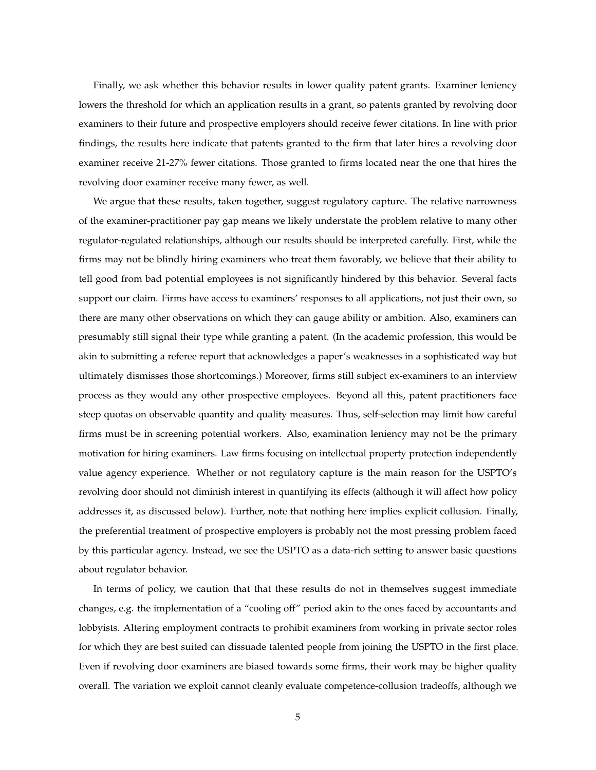Finally, we ask whether this behavior results in lower quality patent grants. Examiner leniency lowers the threshold for which an application results in a grant, so patents granted by revolving door examiners to their future and prospective employers should receive fewer citations. In line with prior findings, the results here indicate that patents granted to the firm that later hires a revolving door examiner receive 21-27% fewer citations. Those granted to firms located near the one that hires the revolving door examiner receive many fewer, as well.

We argue that these results, taken together, suggest regulatory capture. The relative narrowness of the examiner-practitioner pay gap means we likely understate the problem relative to many other regulator-regulated relationships, although our results should be interpreted carefully. First, while the firms may not be blindly hiring examiners who treat them favorably, we believe that their ability to tell good from bad potential employees is not significantly hindered by this behavior. Several facts support our claim. Firms have access to examiners' responses to all applications, not just their own, so there are many other observations on which they can gauge ability or ambition. Also, examiners can presumably still signal their type while granting a patent. (In the academic profession, this would be akin to submitting a referee report that acknowledges a paper's weaknesses in a sophisticated way but ultimately dismisses those shortcomings.) Moreover, firms still subject ex-examiners to an interview process as they would any other prospective employees. Beyond all this, patent practitioners face steep quotas on observable quantity and quality measures. Thus, self-selection may limit how careful firms must be in screening potential workers. Also, examination leniency may not be the primary motivation for hiring examiners. Law firms focusing on intellectual property protection independently value agency experience. Whether or not regulatory capture is the main reason for the USPTO's revolving door should not diminish interest in quantifying its effects (although it will affect how policy addresses it, as discussed below). Further, note that nothing here implies explicit collusion. Finally, the preferential treatment of prospective employers is probably not the most pressing problem faced by this particular agency. Instead, we see the USPTO as a data-rich setting to answer basic questions about regulator behavior.

In terms of policy, we caution that that these results do not in themselves suggest immediate changes, e.g. the implementation of a "cooling off" period akin to the ones faced by accountants and lobbyists. Altering employment contracts to prohibit examiners from working in private sector roles for which they are best suited can dissuade talented people from joining the USPTO in the first place. Even if revolving door examiners are biased towards some firms, their work may be higher quality overall. The variation we exploit cannot cleanly evaluate competence-collusion tradeoffs, although we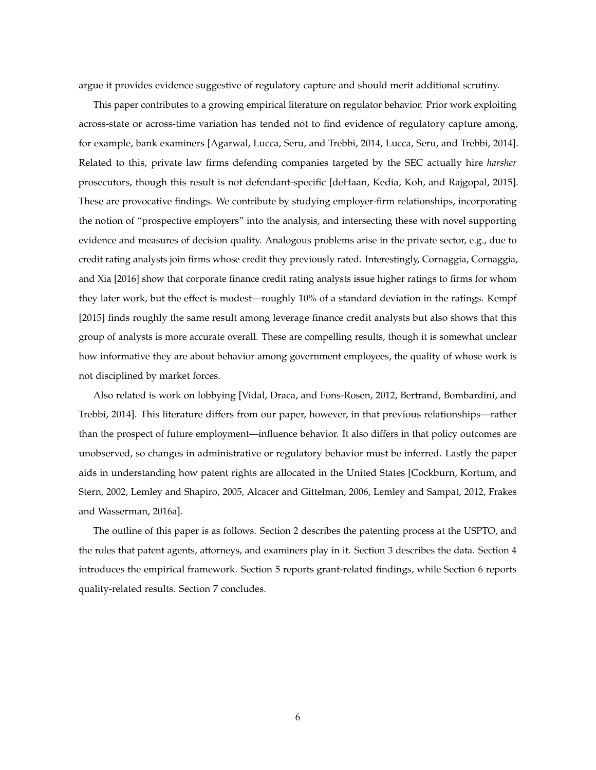argue it provides evidence suggestive of regulatory capture and should merit additional scrutiny.

This paper contributes to a growing empirical literature on regulator behavior. Prior work exploiting across-state or across-time variation has tended not to find evidence of regulatory capture among, for example, bank examiners [Agarwal, Lucca, Seru, and Trebbi, 2014, Lucca, Seru, and Trebbi, 2014]. Related to this, private law firms defending companies targeted by the SEC actually hire *harsher* prosecutors, though this result is not defendant-specific [deHaan, Kedia, Koh, and Rajgopal, 2015]. These are provocative findings. We contribute by studying employer-firm relationships, incorporating the notion of "prospective employers" into the analysis, and intersecting these with novel supporting evidence and measures of decision quality. Analogous problems arise in the private sector, e.g., due to credit rating analysts join firms whose credit they previously rated. Interestingly, Cornaggia, Cornaggia, and Xia [2016] show that corporate finance credit rating analysts issue higher ratings to firms for whom they later work, but the effect is modest—roughly 10% of a standard deviation in the ratings. Kempf [2015] finds roughly the same result among leverage finance credit analysts but also shows that this group of analysts is more accurate overall. These are compelling results, though it is somewhat unclear how informative they are about behavior among government employees, the quality of whose work is not disciplined by market forces.

Also related is work on lobbying [Vidal, Draca, and Fons-Rosen, 2012, Bertrand, Bombardini, and Trebbi, 2014]. This literature differs from our paper, however, in that previous relationships—rather than the prospect of future employment—influence behavior. It also differs in that policy outcomes are unobserved, so changes in administrative or regulatory behavior must be inferred. Lastly the paper aids in understanding how patent rights are allocated in the United States [Cockburn, Kortum, and Stern, 2002, Lemley and Shapiro, 2005, Alcacer and Gittelman, 2006, Lemley and Sampat, 2012, Frakes and Wasserman, 2016a].

The outline of this paper is as follows. Section 2 describes the patenting process at the USPTO, and the roles that patent agents, attorneys, and examiners play in it. Section 3 describes the data. Section 4 introduces the empirical framework. Section 5 reports grant-related findings, while Section 6 reports quality-related results. Section 7 concludes.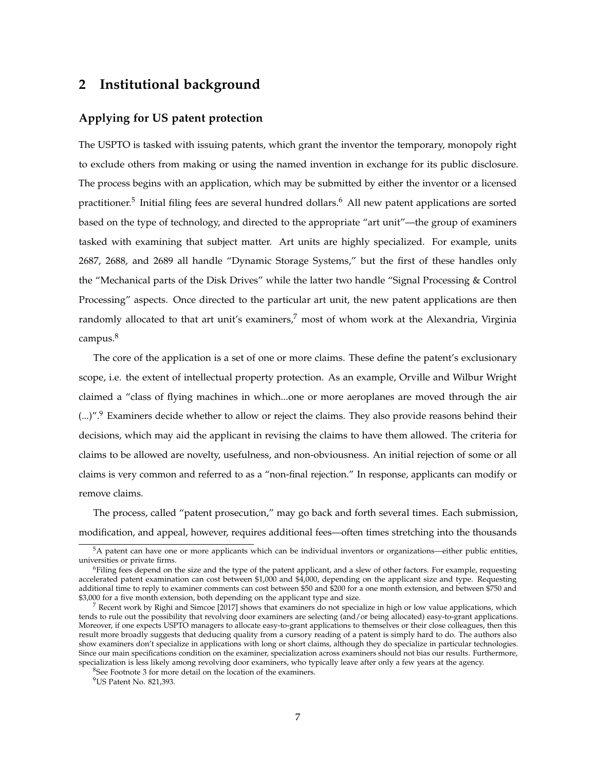## **2 Institutional background**

### **Applying for US patent protection**

The USPTO is tasked with issuing patents, which grant the inventor the temporary, monopoly right to exclude others from making or using the named invention in exchange for its public disclosure. The process begins with an application, which may be submitted by either the inventor or a licensed practitioner.<sup>5</sup> Initial filing fees are several hundred dollars.<sup>6</sup> All new patent applications are sorted based on the type of technology, and directed to the appropriate "art unit"—the group of examiners tasked with examining that subject matter. Art units are highly specialized. For example, units 2687, 2688, and 2689 all handle "Dynamic Storage Systems," but the first of these handles only the "Mechanical parts of the Disk Drives" while the latter two handle "Signal Processing & Control Processing" aspects. Once directed to the particular art unit, the new patent applications are then randomly allocated to that art unit's examiners, $^7$  most of whom work at the Alexandria, Virginia campus.<sup>8</sup>

The core of the application is a set of one or more claims. These define the patent's exclusionary scope, i.e. the extent of intellectual property protection. As an example, Orville and Wilbur Wright claimed a "class of flying machines in which...one or more aeroplanes are moved through the air (...)".<sup>9</sup> Examiners decide whether to allow or reject the claims. They also provide reasons behind their decisions, which may aid the applicant in revising the claims to have them allowed. The criteria for claims to be allowed are novelty, usefulness, and non-obviousness. An initial rejection of some or all claims is very common and referred to as a "non-final rejection." In response, applicants can modify or remove claims.

The process, called "patent prosecution," may go back and forth several times. Each submission, modification, and appeal, however, requires additional fees—often times stretching into the thousands

 $8$ See Footnote 3 for more detail on the location of the examiners.

<sup>&</sup>lt;sup>5</sup>A patent can have one or more applicants which can be individual inventors or organizations—either public entities, universities or private firms.

<sup>&</sup>lt;sup>6</sup>Filing fees depend on the size and the type of the patent applicant, and a slew of other factors. For example, requesting accelerated patent examination can cost between \$1,000 and \$4,000, depending on the applicant size and type. Requesting additional time to reply to examiner comments can cost between \$50 and \$200 for a one month extension, and between \$750 and \$3,000 for a five month extension, both depending on the applicant type and size.

 $<sup>7</sup>$  Recent work by Righi and Simcoe [2017] shows that examiners do not specialize in high or low value applications, which</sup> tends to rule out the possibility that revolving door examiners are selecting (and/or being allocated) easy-to-grant applications. Moreover, if one expects USPTO managers to allocate easy-to-grant applications to themselves or their close colleagues, then this result more broadly suggests that deducing quality from a cursory reading of a patent is simply hard to do. The authors also show examiners don't specialize in applications with long or short claims, although they do specialize in particular technologies. Since our main specifications condition on the examiner, specialization across examiners should not bias our results. Furthermore, specialization is less likely among revolving door examiners, who typically leave after only a few years at the agency.

<sup>9</sup>US Patent No. 821,393.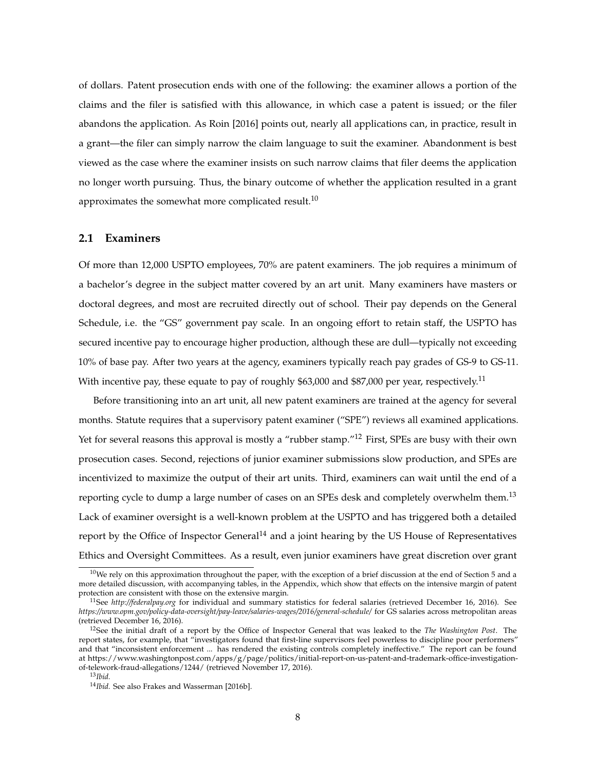of dollars. Patent prosecution ends with one of the following: the examiner allows a portion of the claims and the filer is satisfied with this allowance, in which case a patent is issued; or the filer abandons the application. As Roin [2016] points out, nearly all applications can, in practice, result in a grant—the filer can simply narrow the claim language to suit the examiner. Abandonment is best viewed as the case where the examiner insists on such narrow claims that filer deems the application no longer worth pursuing. Thus, the binary outcome of whether the application resulted in a grant approximates the somewhat more complicated result.<sup>10</sup>

### **2.1 Examiners**

Of more than 12,000 USPTO employees, 70% are patent examiners. The job requires a minimum of a bachelor's degree in the subject matter covered by an art unit. Many examiners have masters or doctoral degrees, and most are recruited directly out of school. Their pay depends on the General Schedule, i.e. the "GS" government pay scale. In an ongoing effort to retain staff, the USPTO has secured incentive pay to encourage higher production, although these are dull—typically not exceeding 10% of base pay. After two years at the agency, examiners typically reach pay grades of GS-9 to GS-11. With incentive pay, these equate to pay of roughly \$63,000 and \$87,000 per year, respectively.<sup>11</sup>

Before transitioning into an art unit, all new patent examiners are trained at the agency for several months. Statute requires that a supervisory patent examiner ("SPE") reviews all examined applications. Yet for several reasons this approval is mostly a "rubber stamp."<sup>12</sup> First, SPEs are busy with their own prosecution cases. Second, rejections of junior examiner submissions slow production, and SPEs are incentivized to maximize the output of their art units. Third, examiners can wait until the end of a reporting cycle to dump a large number of cases on an SPEs desk and completely overwhelm them.<sup>13</sup> Lack of examiner oversight is a well-known problem at the USPTO and has triggered both a detailed report by the Office of Inspector General<sup>14</sup> and a joint hearing by the US House of Representatives Ethics and Oversight Committees. As a result, even junior examiners have great discretion over grant

 $10$ We rely on this approximation throughout the paper, with the exception of a brief discussion at the end of Section 5 and a more detailed discussion, with accompanying tables, in the Appendix, which show that effects on the intensive margin of patent protection are consistent with those on the extensive margin.

<sup>11</sup>See *http://federalpay.org* for individual and summary statistics for federal salaries (retrieved December 16, 2016). See *https://www.opm.gov/policy-data-oversight/pay-leave/salaries-wages/2016/general-schedule/* for GS salaries across metropolitan areas (retrieved December 16, 2016).

<sup>12</sup>See the initial draft of a report by the Office of Inspector General that was leaked to the *The Washington Post*. The report states, for example, that "investigators found that first-line supervisors feel powerless to discipline poor performers" and that "inconsistent enforcement ... has rendered the existing controls completely ineffective." The report can be found at https://www.washingtonpost.com/apps/g/page/politics/initial-report-on-us-patent-and-trademark-office-investigationof-telework-fraud-allegations/1244/ (retrieved November 17, 2016).

<sup>13</sup>*Ibid.*

<sup>14</sup>*Ibid.* See also Frakes and Wasserman [2016b].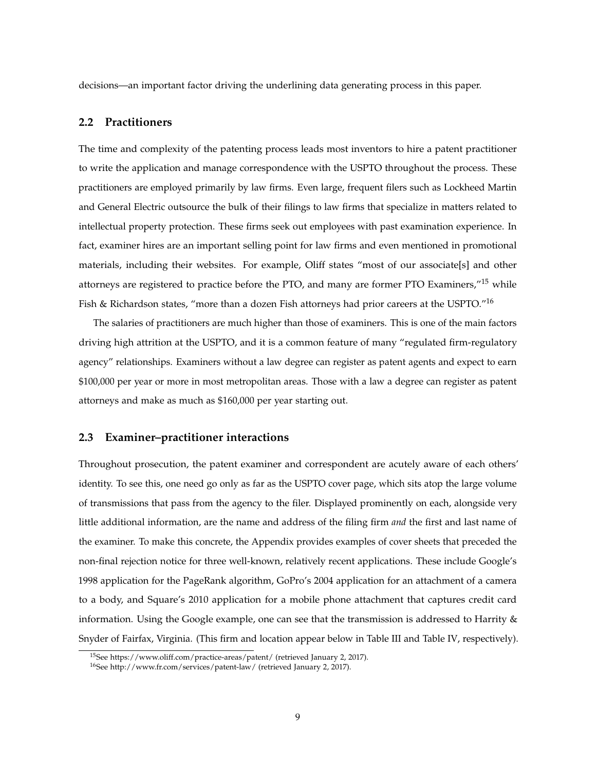decisions—an important factor driving the underlining data generating process in this paper.

### **2.2 Practitioners**

The time and complexity of the patenting process leads most inventors to hire a patent practitioner to write the application and manage correspondence with the USPTO throughout the process. These practitioners are employed primarily by law firms. Even large, frequent filers such as Lockheed Martin and General Electric outsource the bulk of their filings to law firms that specialize in matters related to intellectual property protection. These firms seek out employees with past examination experience. In fact, examiner hires are an important selling point for law firms and even mentioned in promotional materials, including their websites. For example, Oliff states "most of our associate[s] and other attorneys are registered to practice before the PTO, and many are former PTO Examiners,"<sup>15</sup> while Fish & Richardson states, "more than a dozen Fish attorneys had prior careers at the USPTO."<sup>16</sup>

The salaries of practitioners are much higher than those of examiners. This is one of the main factors driving high attrition at the USPTO, and it is a common feature of many "regulated firm-regulatory agency" relationships. Examiners without a law degree can register as patent agents and expect to earn \$100,000 per year or more in most metropolitan areas. Those with a law a degree can register as patent attorneys and make as much as \$160,000 per year starting out.

### **2.3 Examiner–practitioner interactions**

Throughout prosecution, the patent examiner and correspondent are acutely aware of each others' identity. To see this, one need go only as far as the USPTO cover page, which sits atop the large volume of transmissions that pass from the agency to the filer. Displayed prominently on each, alongside very little additional information, are the name and address of the filing firm *and* the first and last name of the examiner. To make this concrete, the Appendix provides examples of cover sheets that preceded the non-final rejection notice for three well-known, relatively recent applications. These include Google's 1998 application for the PageRank algorithm, GoPro's 2004 application for an attachment of a camera to a body, and Square's 2010 application for a mobile phone attachment that captures credit card information. Using the Google example, one can see that the transmission is addressed to Harrity & Snyder of Fairfax, Virginia. (This firm and location appear below in Table III and Table IV, respectively).

<sup>&</sup>lt;sup>15</sup>See https://www.oliff.com/practice-areas/patent/ (retrieved January 2, 2017).

<sup>16</sup>See http://www.fr.com/services/patent-law/ (retrieved January 2, 2017).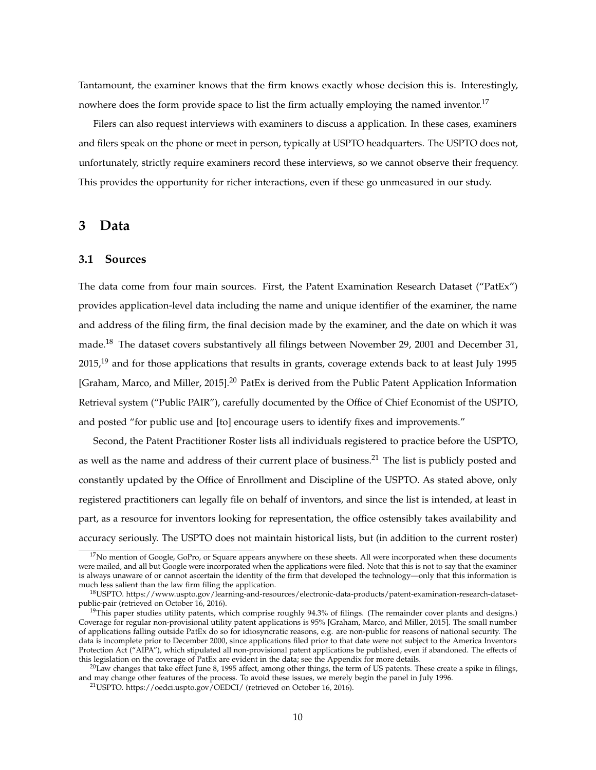Tantamount, the examiner knows that the firm knows exactly whose decision this is. Interestingly, nowhere does the form provide space to list the firm actually employing the named inventor.<sup>17</sup>

Filers can also request interviews with examiners to discuss a application. In these cases, examiners and filers speak on the phone or meet in person, typically at USPTO headquarters. The USPTO does not, unfortunately, strictly require examiners record these interviews, so we cannot observe their frequency. This provides the opportunity for richer interactions, even if these go unmeasured in our study.

## **3 Data**

### **3.1 Sources**

The data come from four main sources. First, the Patent Examination Research Dataset ("PatEx") provides application-level data including the name and unique identifier of the examiner, the name and address of the filing firm, the final decision made by the examiner, and the date on which it was made.<sup>18</sup> The dataset covers substantively all filings between November 29, 2001 and December 31,  $2015<sup>19</sup>$  and for those applications that results in grants, coverage extends back to at least July 1995 [Graham, Marco, and Miller, 2015].<sup>20</sup> PatEx is derived from the Public Patent Application Information Retrieval system ("Public PAIR"), carefully documented by the Office of Chief Economist of the USPTO, and posted "for public use and [to] encourage users to identify fixes and improvements."

Second, the Patent Practitioner Roster lists all individuals registered to practice before the USPTO, as well as the name and address of their current place of business.<sup>21</sup> The list is publicly posted and constantly updated by the Office of Enrollment and Discipline of the USPTO. As stated above, only registered practitioners can legally file on behalf of inventors, and since the list is intended, at least in part, as a resource for inventors looking for representation, the office ostensibly takes availability and accuracy seriously. The USPTO does not maintain historical lists, but (in addition to the current roster)

 $17$ No mention of Google, GoPro, or Square appears anywhere on these sheets. All were incorporated when these documents were mailed, and all but Google were incorporated when the applications were filed. Note that this is not to say that the examiner is always unaware of or cannot ascertain the identity of the firm that developed the technology—only that this information is much less salient than the law firm filing the application.

<sup>18</sup>USPTO. https://www.uspto.gov/learning-and-resources/electronic-data-products/patent-examination-research-datasetpublic-pair (retrieved on October 16, 2016).

<sup>&</sup>lt;sup>19</sup>This paper studies utility patents, which comprise roughly 94.3% of filings. (The remainder cover plants and designs.) Coverage for regular non-provisional utility patent applications is 95% [Graham, Marco, and Miller, 2015]. The small number of applications falling outside PatEx do so for idiosyncratic reasons, e.g. are non-public for reasons of national security. The data is incomplete prior to December 2000, since applications filed prior to that date were not subject to the America Inventors Protection Act ("AIPA"), which stipulated all non-provisional patent applications be published, even if abandoned. The effects of this legislation on the coverage of PatEx are evident in the data; see the Appendix for more details.

 $^{20}$ Law changes that take effect June 8, 1995 affect, among other things, the term of US patents. These create a spike in filings, and may change other features of the process. To avoid these issues, we merely begin the panel in July 1996.

<sup>21</sup>USPTO. https://oedci.uspto.gov/OEDCI/ (retrieved on October 16, 2016).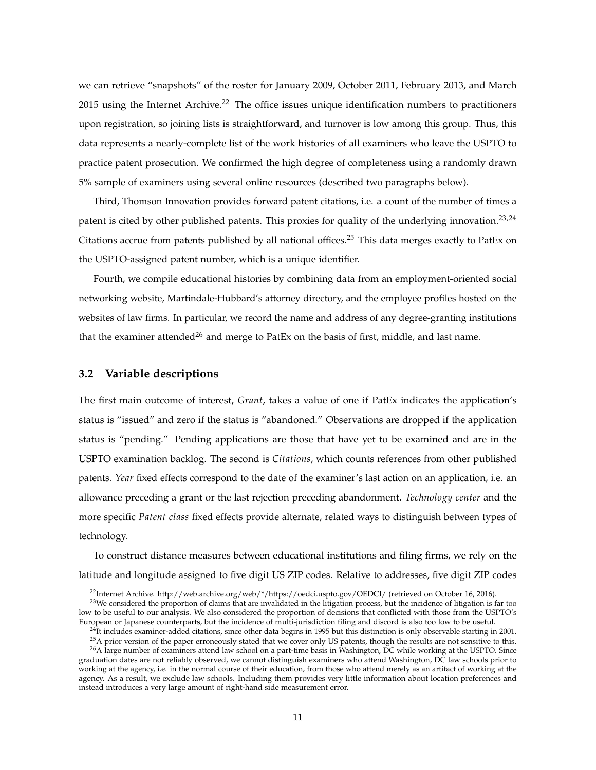we can retrieve "snapshots" of the roster for January 2009, October 2011, February 2013, and March 2015 using the Internet Archive.<sup>22</sup> The office issues unique identification numbers to practitioners upon registration, so joining lists is straightforward, and turnover is low among this group. Thus, this data represents a nearly-complete list of the work histories of all examiners who leave the USPTO to practice patent prosecution. We confirmed the high degree of completeness using a randomly drawn 5% sample of examiners using several online resources (described two paragraphs below).

Third, Thomson Innovation provides forward patent citations, i.e. a count of the number of times a patent is cited by other published patents. This proxies for quality of the underlying innovation.<sup>23,24</sup> Citations accrue from patents published by all national offices.<sup>25</sup> This data merges exactly to PatEx on the USPTO-assigned patent number, which is a unique identifier.

Fourth, we compile educational histories by combining data from an employment-oriented social networking website, Martindale-Hubbard's attorney directory, and the employee profiles hosted on the websites of law firms. In particular, we record the name and address of any degree-granting institutions that the examiner attended<sup>26</sup> and merge to PatEx on the basis of first, middle, and last name.

### **3.2 Variable descriptions**

The first main outcome of interest, *Grant*, takes a value of one if PatEx indicates the application's status is "issued" and zero if the status is "abandoned." Observations are dropped if the application status is "pending." Pending applications are those that have yet to be examined and are in the USPTO examination backlog. The second is *Citations*, which counts references from other published patents. *Year* fixed effects correspond to the date of the examiner's last action on an application, i.e. an allowance preceding a grant or the last rejection preceding abandonment. *Technology center* and the more specific *Patent class* fixed effects provide alternate, related ways to distinguish between types of technology.

To construct distance measures between educational institutions and filing firms, we rely on the latitude and longitude assigned to five digit US ZIP codes. Relative to addresses, five digit ZIP codes

<sup>22</sup>Internet Archive. http://web.archive.org/web/\*/https://oedci.uspto.gov/OEDCI/ (retrieved on October 16, 2016).

 $^{23}$ We considered the proportion of claims that are invalidated in the litigation process, but the incidence of litigation is far too low to be useful to our analysis. We also considered the proportion of decisions that conflicted with those from the USPTO's European or Japanese counterparts, but the incidence of multi-jurisdiction filing and discord is also too low to be useful.

 $^{24}$ It includes examiner-added citations, since other data begins in 1995 but this distinction is only observable starting in 2001.

 $25A$  prior version of the paper erroneously stated that we cover only US patents, though the results are not sensitive to this. <sup>26</sup>A large number of examiners attend law school on a part-time basis in Washington, DC while working at the USPTO. Since graduation dates are not reliably observed, we cannot distinguish examiners who attend Washington, DC law schools prior to working at the agency, i.e. in the normal course of their education, from those who attend merely as an artifact of working at the agency. As a result, we exclude law schools. Including them provides very little information about location preferences and instead introduces a very large amount of right-hand side measurement error.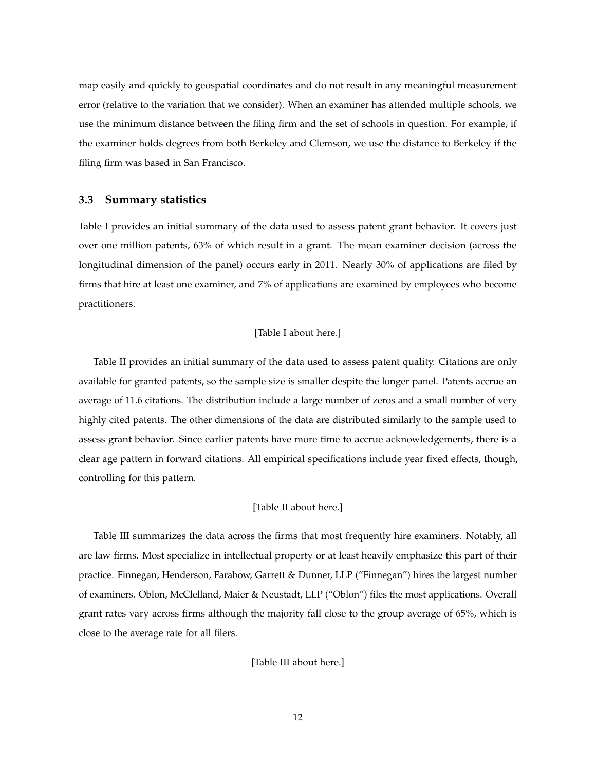map easily and quickly to geospatial coordinates and do not result in any meaningful measurement error (relative to the variation that we consider). When an examiner has attended multiple schools, we use the minimum distance between the filing firm and the set of schools in question. For example, if the examiner holds degrees from both Berkeley and Clemson, we use the distance to Berkeley if the filing firm was based in San Francisco.

### **3.3 Summary statistics**

Table I provides an initial summary of the data used to assess patent grant behavior. It covers just over one million patents, 63% of which result in a grant. The mean examiner decision (across the longitudinal dimension of the panel) occurs early in 2011. Nearly 30% of applications are filed by firms that hire at least one examiner, and 7% of applications are examined by employees who become practitioners.

### [Table I about here.]

Table II provides an initial summary of the data used to assess patent quality. Citations are only available for granted patents, so the sample size is smaller despite the longer panel. Patents accrue an average of 11.6 citations. The distribution include a large number of zeros and a small number of very highly cited patents. The other dimensions of the data are distributed similarly to the sample used to assess grant behavior. Since earlier patents have more time to accrue acknowledgements, there is a clear age pattern in forward citations. All empirical specifications include year fixed effects, though, controlling for this pattern.

### [Table II about here.]

Table III summarizes the data across the firms that most frequently hire examiners. Notably, all are law firms. Most specialize in intellectual property or at least heavily emphasize this part of their practice. Finnegan, Henderson, Farabow, Garrett & Dunner, LLP ("Finnegan") hires the largest number of examiners. Oblon, McClelland, Maier & Neustadt, LLP ("Oblon") files the most applications. Overall grant rates vary across firms although the majority fall close to the group average of 65%, which is close to the average rate for all filers.

### [Table III about here.]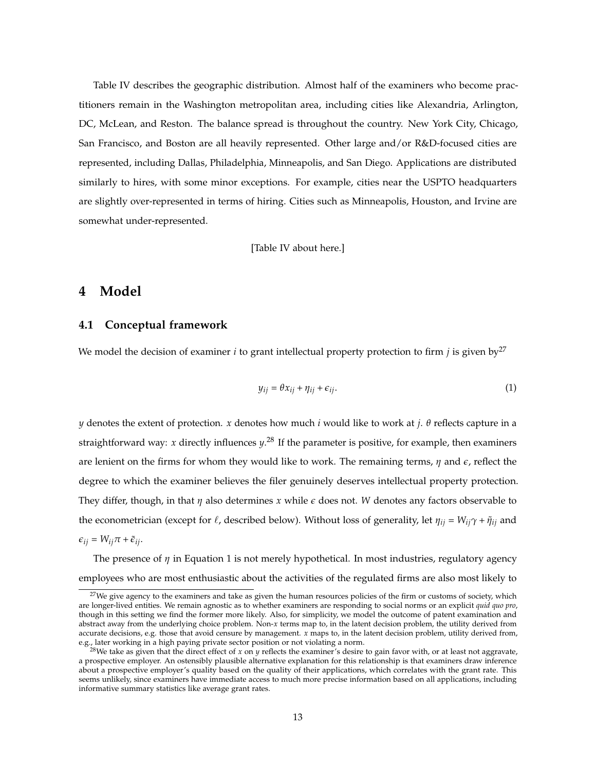Table IV describes the geographic distribution. Almost half of the examiners who become practitioners remain in the Washington metropolitan area, including cities like Alexandria, Arlington, DC, McLean, and Reston. The balance spread is throughout the country. New York City, Chicago, San Francisco, and Boston are all heavily represented. Other large and/or R&D-focused cities are represented, including Dallas, Philadelphia, Minneapolis, and San Diego. Applications are distributed similarly to hires, with some minor exceptions. For example, cities near the USPTO headquarters are slightly over-represented in terms of hiring. Cities such as Minneapolis, Houston, and Irvine are somewhat under-represented.

[Table IV about here.]

## **4 Model**

### **4.1 Conceptual framework**

We model the decision of examiner *i* to grant intellectual property protection to firm *j* is given  $by^{27}$ 

$$
y_{ij} = \theta x_{ij} + \eta_{ij} + \epsilon_{ij}.
$$
 (1)

*y* denotes the extent of protection. *x* denotes how much *i* would like to work at *j*. *θ* reflects capture in a straightforward way: *x* directly influences *y*. <sup>28</sup> If the parameter is positive, for example, then examiners are lenient on the firms for whom they would like to work. The remaining terms, *η* and *e*, reflect the degree to which the examiner believes the filer genuinely deserves intellectual property protection. They differ, though, in that *η* also determines *x* while *e* does not. *W* denotes any factors observable to the econometrician (except for  $\ell$ , described below). Without loss of generality, let  $\eta_{ij} = W_{ij}\gamma + \tilde{\eta}_{ij}$  and  $\epsilon_{ij} = W_{ij}\pi + \tilde{\epsilon}_{ij}.$ 

The presence of *η* in Equation 1 is not merely hypothetical. In most industries, regulatory agency employees who are most enthusiastic about the activities of the regulated firms are also most likely to

 $27$ We give agency to the examiners and take as given the human resources policies of the firm or customs of society, which are longer-lived entities. We remain agnostic as to whether examiners are responding to social norms or an explicit *quid quo pro*, though in this setting we find the former more likely. Also, for simplicity, we model the outcome of patent examination and abstract away from the underlying choice problem. Non-*x* terms map to, in the latent decision problem, the utility derived from accurate decisions, e.g. those that avoid censure by management. *x* maps to, in the latent decision problem, utility derived from, e.g., later working in a high paying private sector position or not violating a norm.

<sup>28</sup>We take as given that the direct effect of *x* on *y* reflects the examiner's desire to gain favor with, or at least not aggravate, a prospective employer. An ostensibly plausible alternative explanation for this relationship is that examiners draw inference about a prospective employer's quality based on the quality of their applications, which correlates with the grant rate. This seems unlikely, since examiners have immediate access to much more precise information based on all applications, including informative summary statistics like average grant rates.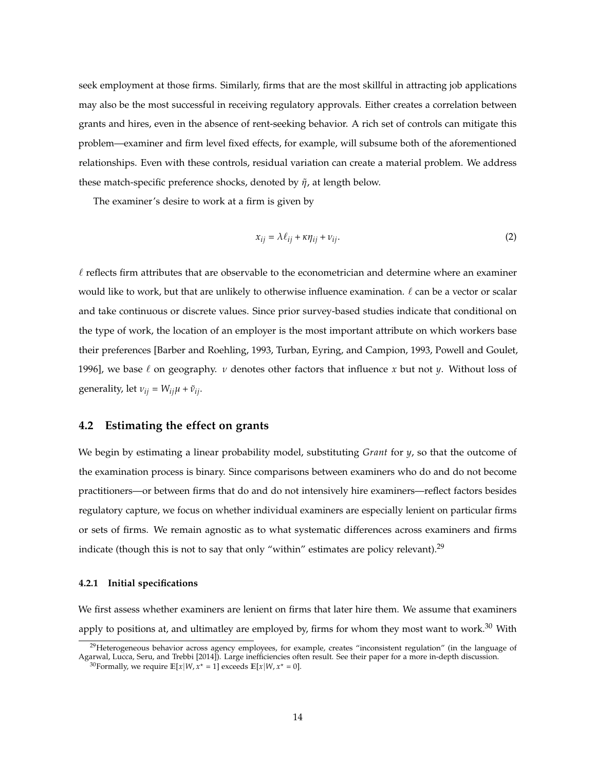seek employment at those firms. Similarly, firms that are the most skillful in attracting job applications may also be the most successful in receiving regulatory approvals. Either creates a correlation between grants and hires, even in the absence of rent-seeking behavior. A rich set of controls can mitigate this problem—examiner and firm level fixed effects, for example, will subsume both of the aforementioned relationships. Even with these controls, residual variation can create a material problem. We address these match-specific preference shocks, denoted by  $η$ , at length below.

The examiner's desire to work at a firm is given by

$$
x_{ij} = \lambda \ell_{ij} + \kappa \eta_{ij} + \nu_{ij}.
$$
 (2)

 $\ell$  reflects firm attributes that are observable to the econometrician and determine where an examiner would like to work, but that are unlikely to otherwise influence examination.  $\ell$  can be a vector or scalar and take continuous or discrete values. Since prior survey-based studies indicate that conditional on the type of work, the location of an employer is the most important attribute on which workers base their preferences [Barber and Roehling, 1993, Turban, Eyring, and Campion, 1993, Powell and Goulet, 1996], we base  $\ell$  on geography. *v* denotes other factors that influence *x* but not *y*. Without loss of generality, let  $v_{ij} = W_{ij}\mu + \tilde{v}_{ij}$ .

### **4.2 Estimating the effect on grants**

We begin by estimating a linear probability model, substituting *Grant* for *y*, so that the outcome of the examination process is binary. Since comparisons between examiners who do and do not become practitioners—or between firms that do and do not intensively hire examiners—reflect factors besides regulatory capture, we focus on whether individual examiners are especially lenient on particular firms or sets of firms. We remain agnostic as to what systematic differences across examiners and firms indicate (though this is not to say that only "within" estimates are policy relevant).<sup>29</sup>

#### **4.2.1 Initial specifications**

We first assess whether examiners are lenient on firms that later hire them. We assume that examiners apply to positions at, and ultimatley are employed by, firms for whom they most want to work.<sup>30</sup> With

<sup>&</sup>lt;sup>29</sup>Heterogeneous behavior across agency employees, for example, creates "inconsistent regulation" (in the language of Agarwal, Lucca, Seru, and Trebbi [2014]). Large inefficiencies often result. See their paper for a more in-depth discussion.

<sup>&</sup>lt;sup>30</sup> Formally, we require  $\mathbb{E}[x|W, x^* = 1]$  exceeds  $\mathbb{E}[x|W, x^* = 0]$ .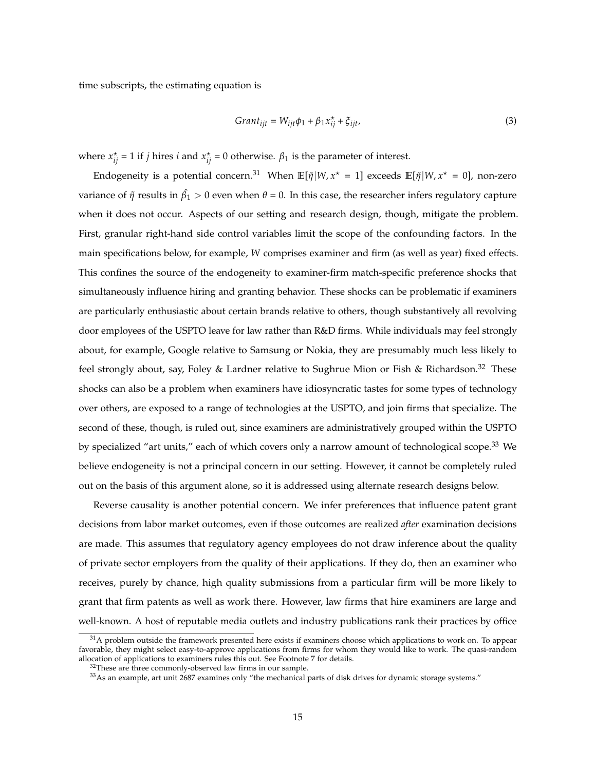time subscripts, the estimating equation is

$$
Grant_{ijt} = W_{ijt}\phi_1 + \beta_1 x_{ij}^* + \xi_{ijt},
$$
\n(3)

where  $x_{ij}^* = 1$  if *j* hires *i* and  $x_{ij}^* = 0$  otherwise.  $\beta_1$  is the parameter of interest.

Endogeneity is a potential concern.<sup>31</sup> When  $\mathbb{E}[\tilde{\eta}|W, x^* = 1]$  exceeds  $\mathbb{E}[\tilde{\eta}|W, x^* = 0]$ , non-zero variance of  $\tilde\eta$  results in  $\hat{\beta_1}>0$  even when  $\theta=0$ . In this case, the researcher infers regulatory capture when it does not occur. Aspects of our setting and research design, though, mitigate the problem. First, granular right-hand side control variables limit the scope of the confounding factors. In the main specifications below, for example, *W* comprises examiner and firm (as well as year) fixed effects. This confines the source of the endogeneity to examiner-firm match-specific preference shocks that simultaneously influence hiring and granting behavior. These shocks can be problematic if examiners are particularly enthusiastic about certain brands relative to others, though substantively all revolving door employees of the USPTO leave for law rather than R&D firms. While individuals may feel strongly about, for example, Google relative to Samsung or Nokia, they are presumably much less likely to feel strongly about, say, Foley & Lardner relative to Sughrue Mion or Fish & Richardson.<sup>32</sup> These shocks can also be a problem when examiners have idiosyncratic tastes for some types of technology over others, are exposed to a range of technologies at the USPTO, and join firms that specialize. The second of these, though, is ruled out, since examiners are administratively grouped within the USPTO by specialized "art units," each of which covers only a narrow amount of technological scope.<sup>33</sup> We believe endogeneity is not a principal concern in our setting. However, it cannot be completely ruled out on the basis of this argument alone, so it is addressed using alternate research designs below.

Reverse causality is another potential concern. We infer preferences that influence patent grant decisions from labor market outcomes, even if those outcomes are realized *after* examination decisions are made. This assumes that regulatory agency employees do not draw inference about the quality of private sector employers from the quality of their applications. If they do, then an examiner who receives, purely by chance, high quality submissions from a particular firm will be more likely to grant that firm patents as well as work there. However, law firms that hire examiners are large and well-known. A host of reputable media outlets and industry publications rank their practices by office

 $31A$  problem outside the framework presented here exists if examiners choose which applications to work on. To appear favorable, they might select easy-to-approve applications from firms for whom they would like to work. The quasi-random allocation of applications to examiners rules this out. See Footnote 7 for details.

<sup>&</sup>lt;sup>32</sup>These are three commonly-observed law firms in our sample.

<sup>33</sup>As an example, art unit 2687 examines only "the mechanical parts of disk drives for dynamic storage systems."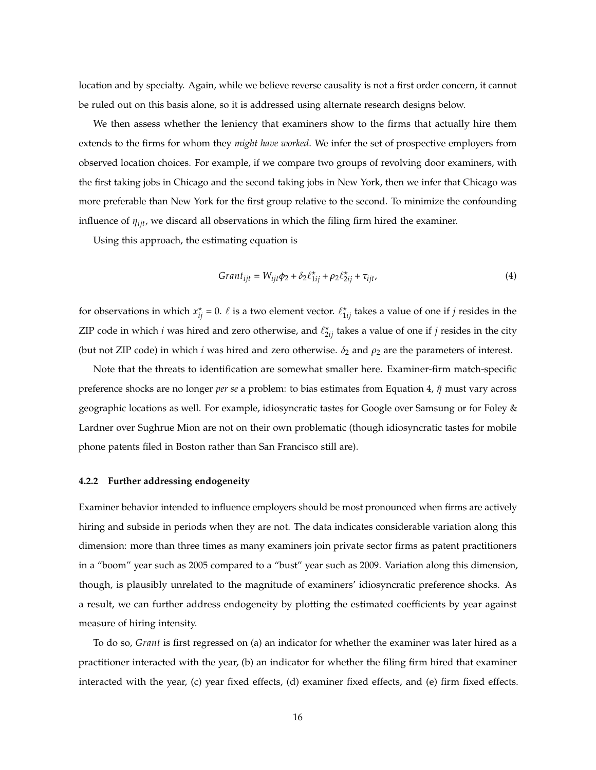location and by specialty. Again, while we believe reverse causality is not a first order concern, it cannot be ruled out on this basis alone, so it is addressed using alternate research designs below.

We then assess whether the leniency that examiners show to the firms that actually hire them extends to the firms for whom they *might have worked*. We infer the set of prospective employers from observed location choices. For example, if we compare two groups of revolving door examiners, with the first taking jobs in Chicago and the second taking jobs in New York, then we infer that Chicago was more preferable than New York for the first group relative to the second. To minimize the confounding influence of *ηijt*, we discard all observations in which the filing firm hired the examiner.

Using this approach, the estimating equation is

$$
Grant_{ijt} = W_{ijt}\phi_2 + \delta_2 \ell_{1ij}^* + \rho_2 \ell_{2ij}^* + \tau_{ijt},
$$
\n
$$
\tag{4}
$$

for observations in which  $x_{ij}^* = 0$ .  $\ell$  is a two element vector.  $\ell_{1ij}^*$  takes a value of one if *j* resides in the ZIP code in which *i* was hired and zero otherwise, and  $\ell_{2ij}^{\star}$  takes a value of one if *j* resides in the city (but not ZIP code) in which *i* was hired and zero otherwise.  $\delta_2$  and  $\rho_2$  are the parameters of interest.

Note that the threats to identification are somewhat smaller here. Examiner-firm match-specific preference shocks are no longer *per se* a problem: to bias estimates from Equation 4, *η*˜ must vary across geographic locations as well. For example, idiosyncratic tastes for Google over Samsung or for Foley & Lardner over Sughrue Mion are not on their own problematic (though idiosyncratic tastes for mobile phone patents filed in Boston rather than San Francisco still are).

#### **4.2.2 Further addressing endogeneity**

Examiner behavior intended to influence employers should be most pronounced when firms are actively hiring and subside in periods when they are not. The data indicates considerable variation along this dimension: more than three times as many examiners join private sector firms as patent practitioners in a "boom" year such as 2005 compared to a "bust" year such as 2009. Variation along this dimension, though, is plausibly unrelated to the magnitude of examiners' idiosyncratic preference shocks. As a result, we can further address endogeneity by plotting the estimated coefficients by year against measure of hiring intensity.

To do so, *Grant* is first regressed on (a) an indicator for whether the examiner was later hired as a practitioner interacted with the year, (b) an indicator for whether the filing firm hired that examiner interacted with the year, (c) year fixed effects, (d) examiner fixed effects, and (e) firm fixed effects.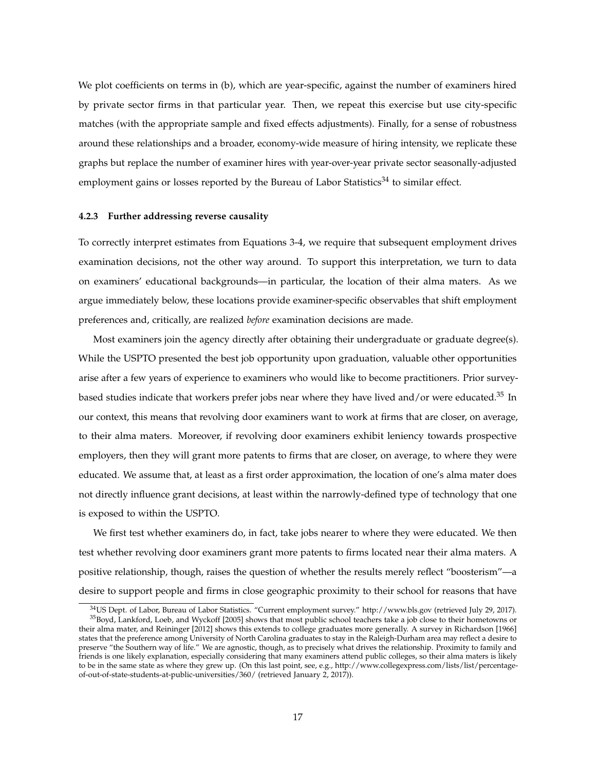We plot coefficients on terms in (b), which are year-specific, against the number of examiners hired by private sector firms in that particular year. Then, we repeat this exercise but use city-specific matches (with the appropriate sample and fixed effects adjustments). Finally, for a sense of robustness around these relationships and a broader, economy-wide measure of hiring intensity, we replicate these graphs but replace the number of examiner hires with year-over-year private sector seasonally-adjusted employment gains or losses reported by the Bureau of Labor Statistics<sup>34</sup> to similar effect.

#### **4.2.3 Further addressing reverse causality**

To correctly interpret estimates from Equations 3-4, we require that subsequent employment drives examination decisions, not the other way around. To support this interpretation, we turn to data on examiners' educational backgrounds—in particular, the location of their alma maters. As we argue immediately below, these locations provide examiner-specific observables that shift employment preferences and, critically, are realized *before* examination decisions are made.

Most examiners join the agency directly after obtaining their undergraduate or graduate degree(s). While the USPTO presented the best job opportunity upon graduation, valuable other opportunities arise after a few years of experience to examiners who would like to become practitioners. Prior surveybased studies indicate that workers prefer jobs near where they have lived and/or were educated.<sup>35</sup> In our context, this means that revolving door examiners want to work at firms that are closer, on average, to their alma maters. Moreover, if revolving door examiners exhibit leniency towards prospective employers, then they will grant more patents to firms that are closer, on average, to where they were educated. We assume that, at least as a first order approximation, the location of one's alma mater does not directly influence grant decisions, at least within the narrowly-defined type of technology that one is exposed to within the USPTO.

We first test whether examiners do, in fact, take jobs nearer to where they were educated. We then test whether revolving door examiners grant more patents to firms located near their alma maters. A positive relationship, though, raises the question of whether the results merely reflect "boosterism"—a desire to support people and firms in close geographic proximity to their school for reasons that have

<sup>34</sup>US Dept. of Labor, Bureau of Labor Statistics. "Current employment survey." http://www.bls.gov (retrieved July 29, 2017). <sup>35</sup>Boyd, Lankford, Loeb, and Wyckoff [2005] shows that most public school teachers take a job close to their hometowns or their alma mater, and Reininger [2012] shows this extends to college graduates more generally. A survey in Richardson [1966] states that the preference among University of North Carolina graduates to stay in the Raleigh-Durham area may reflect a desire to preserve "the Southern way of life." We are agnostic, though, as to precisely what drives the relationship. Proximity to family and friends is one likely explanation, especially considering that many examiners attend public colleges, so their alma maters is likely to be in the same state as where they grew up. (On this last point, see, e.g., http://www.collegexpress.com/lists/list/percentageof-out-of-state-students-at-public-universities/360/ (retrieved January 2, 2017)).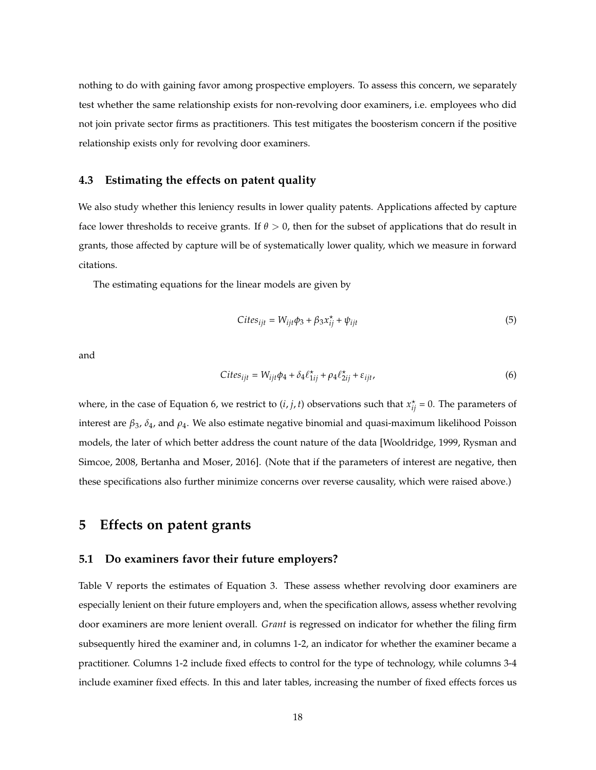nothing to do with gaining favor among prospective employers. To assess this concern, we separately test whether the same relationship exists for non-revolving door examiners, i.e. employees who did not join private sector firms as practitioners. This test mitigates the boosterism concern if the positive relationship exists only for revolving door examiners.

### **4.3 Estimating the effects on patent quality**

We also study whether this leniency results in lower quality patents. Applications affected by capture face lower thresholds to receive grants. If  $\theta > 0$ , then for the subset of applications that do result in grants, those affected by capture will be of systematically lower quality, which we measure in forward citations.

The estimating equations for the linear models are given by

$$
Cites_{ijt} = W_{ijt}\phi_3 + \beta_3 x_{ij}^* + \psi_{ijt}
$$
\n(5)

and

$$
Cites_{ijt} = W_{ijt}\phi_4 + \delta_4 \ell_{1ij}^* + \rho_4 \ell_{2ij}^* + \varepsilon_{ijt},\tag{6}
$$

where, in the case of Equation 6, we restrict to  $(i, j, t)$  observations such that  $x_{ij}^* = 0$ . The parameters of interest are *β*3, *δ*4, and *ρ*4. We also estimate negative binomial and quasi-maximum likelihood Poisson models, the later of which better address the count nature of the data [Wooldridge, 1999, Rysman and Simcoe, 2008, Bertanha and Moser, 2016]. (Note that if the parameters of interest are negative, then these specifications also further minimize concerns over reverse causality, which were raised above.)

## **5 Effects on patent grants**

### **5.1 Do examiners favor their future employers?**

Table V reports the estimates of Equation 3. These assess whether revolving door examiners are especially lenient on their future employers and, when the specification allows, assess whether revolving door examiners are more lenient overall. *Grant* is regressed on indicator for whether the filing firm subsequently hired the examiner and, in columns 1-2, an indicator for whether the examiner became a practitioner. Columns 1-2 include fixed effects to control for the type of technology, while columns 3-4 include examiner fixed effects. In this and later tables, increasing the number of fixed effects forces us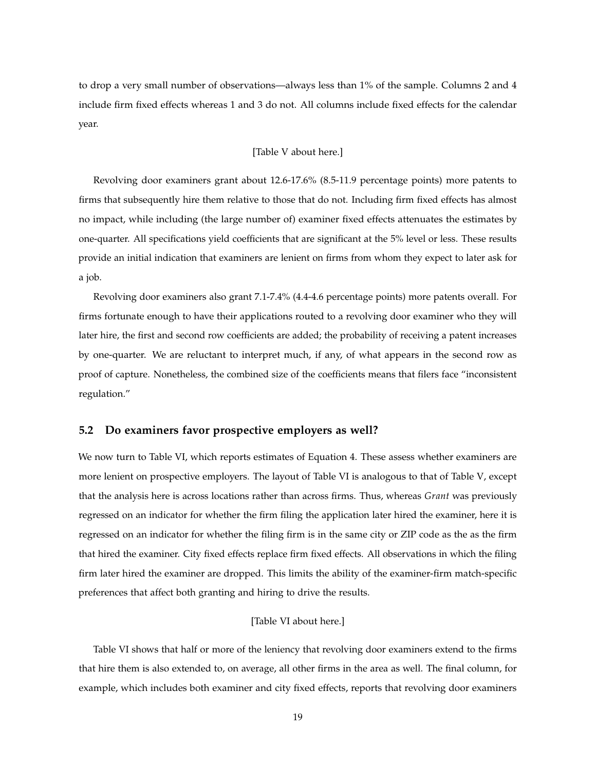to drop a very small number of observations—always less than 1% of the sample. Columns 2 and 4 include firm fixed effects whereas 1 and 3 do not. All columns include fixed effects for the calendar year.

#### [Table V about here.]

Revolving door examiners grant about 12.6-17.6% (8.5-11.9 percentage points) more patents to firms that subsequently hire them relative to those that do not. Including firm fixed effects has almost no impact, while including (the large number of) examiner fixed effects attenuates the estimates by one-quarter. All specifications yield coefficients that are significant at the 5% level or less. These results provide an initial indication that examiners are lenient on firms from whom they expect to later ask for a job.

Revolving door examiners also grant 7.1-7.4% (4.4-4.6 percentage points) more patents overall. For firms fortunate enough to have their applications routed to a revolving door examiner who they will later hire, the first and second row coefficients are added; the probability of receiving a patent increases by one-quarter. We are reluctant to interpret much, if any, of what appears in the second row as proof of capture. Nonetheless, the combined size of the coefficients means that filers face "inconsistent regulation."

### **5.2 Do examiners favor prospective employers as well?**

We now turn to Table VI, which reports estimates of Equation 4. These assess whether examiners are more lenient on prospective employers. The layout of Table VI is analogous to that of Table V, except that the analysis here is across locations rather than across firms. Thus, whereas *Grant* was previously regressed on an indicator for whether the firm filing the application later hired the examiner, here it is regressed on an indicator for whether the filing firm is in the same city or ZIP code as the as the firm that hired the examiner. City fixed effects replace firm fixed effects. All observations in which the filing firm later hired the examiner are dropped. This limits the ability of the examiner-firm match-specific preferences that affect both granting and hiring to drive the results.

### [Table VI about here.]

Table VI shows that half or more of the leniency that revolving door examiners extend to the firms that hire them is also extended to, on average, all other firms in the area as well. The final column, for example, which includes both examiner and city fixed effects, reports that revolving door examiners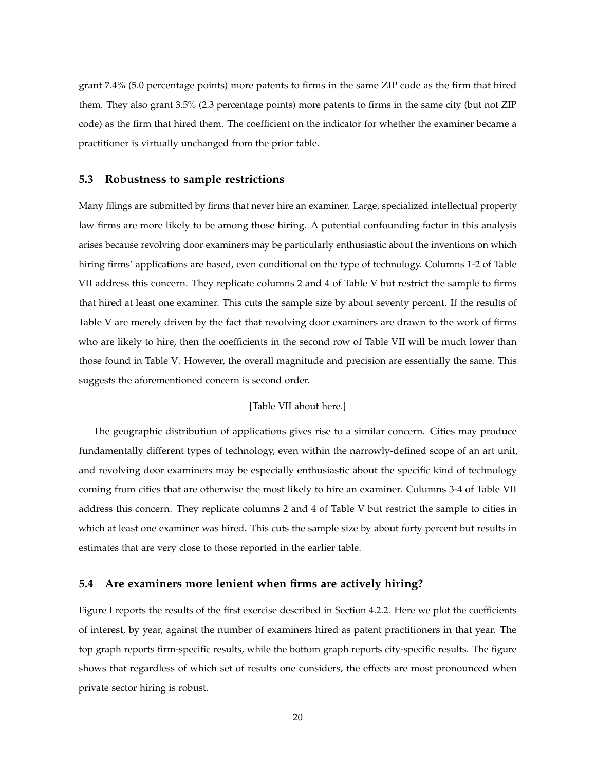grant 7.4% (5.0 percentage points) more patents to firms in the same ZIP code as the firm that hired them. They also grant 3.5% (2.3 percentage points) more patents to firms in the same city (but not ZIP code) as the firm that hired them. The coefficient on the indicator for whether the examiner became a practitioner is virtually unchanged from the prior table.

### **5.3 Robustness to sample restrictions**

Many filings are submitted by firms that never hire an examiner. Large, specialized intellectual property law firms are more likely to be among those hiring. A potential confounding factor in this analysis arises because revolving door examiners may be particularly enthusiastic about the inventions on which hiring firms' applications are based, even conditional on the type of technology. Columns 1-2 of Table VII address this concern. They replicate columns 2 and 4 of Table V but restrict the sample to firms that hired at least one examiner. This cuts the sample size by about seventy percent. If the results of Table V are merely driven by the fact that revolving door examiners are drawn to the work of firms who are likely to hire, then the coefficients in the second row of Table VII will be much lower than those found in Table V. However, the overall magnitude and precision are essentially the same. This suggests the aforementioned concern is second order.

#### [Table VII about here.]

The geographic distribution of applications gives rise to a similar concern. Cities may produce fundamentally different types of technology, even within the narrowly-defined scope of an art unit, and revolving door examiners may be especially enthusiastic about the specific kind of technology coming from cities that are otherwise the most likely to hire an examiner. Columns 3-4 of Table VII address this concern. They replicate columns 2 and 4 of Table V but restrict the sample to cities in which at least one examiner was hired. This cuts the sample size by about forty percent but results in estimates that are very close to those reported in the earlier table.

### **5.4 Are examiners more lenient when firms are actively hiring?**

Figure I reports the results of the first exercise described in Section 4.2.2. Here we plot the coefficients of interest, by year, against the number of examiners hired as patent practitioners in that year. The top graph reports firm-specific results, while the bottom graph reports city-specific results. The figure shows that regardless of which set of results one considers, the effects are most pronounced when private sector hiring is robust.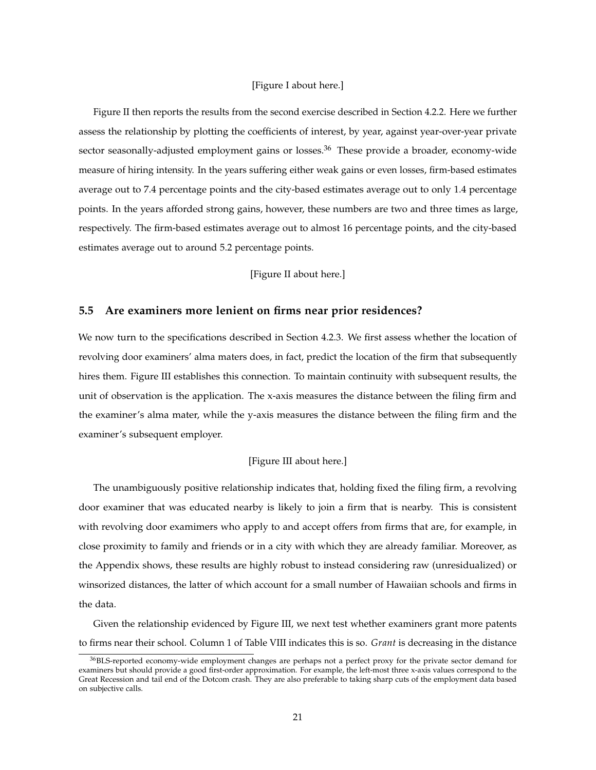### [Figure I about here.]

Figure II then reports the results from the second exercise described in Section 4.2.2. Here we further assess the relationship by plotting the coefficients of interest, by year, against year-over-year private sector seasonally-adjusted employment gains or losses.<sup>36</sup> These provide a broader, economy-wide measure of hiring intensity. In the years suffering either weak gains or even losses, firm-based estimates average out to 7.4 percentage points and the city-based estimates average out to only 1.4 percentage points. In the years afforded strong gains, however, these numbers are two and three times as large, respectively. The firm-based estimates average out to almost 16 percentage points, and the city-based estimates average out to around 5.2 percentage points.

[Figure II about here.]

### **5.5 Are examiners more lenient on firms near prior residences?**

We now turn to the specifications described in Section 4.2.3. We first assess whether the location of revolving door examiners' alma maters does, in fact, predict the location of the firm that subsequently hires them. Figure III establishes this connection. To maintain continuity with subsequent results, the unit of observation is the application. The x-axis measures the distance between the filing firm and the examiner's alma mater, while the y-axis measures the distance between the filing firm and the examiner's subsequent employer.

### [Figure III about here.]

The unambiguously positive relationship indicates that, holding fixed the filing firm, a revolving door examiner that was educated nearby is likely to join a firm that is nearby. This is consistent with revolving door examimers who apply to and accept offers from firms that are, for example, in close proximity to family and friends or in a city with which they are already familiar. Moreover, as the Appendix shows, these results are highly robust to instead considering raw (unresidualized) or winsorized distances, the latter of which account for a small number of Hawaiian schools and firms in the data.

Given the relationship evidenced by Figure III, we next test whether examiners grant more patents to firms near their school. Column 1 of Table VIII indicates this is so. *Grant* is decreasing in the distance

<sup>36</sup>BLS-reported economy-wide employment changes are perhaps not a perfect proxy for the private sector demand for examiners but should provide a good first-order approximation. For example, the left-most three x-axis values correspond to the Great Recession and tail end of the Dotcom crash. They are also preferable to taking sharp cuts of the employment data based on subjective calls.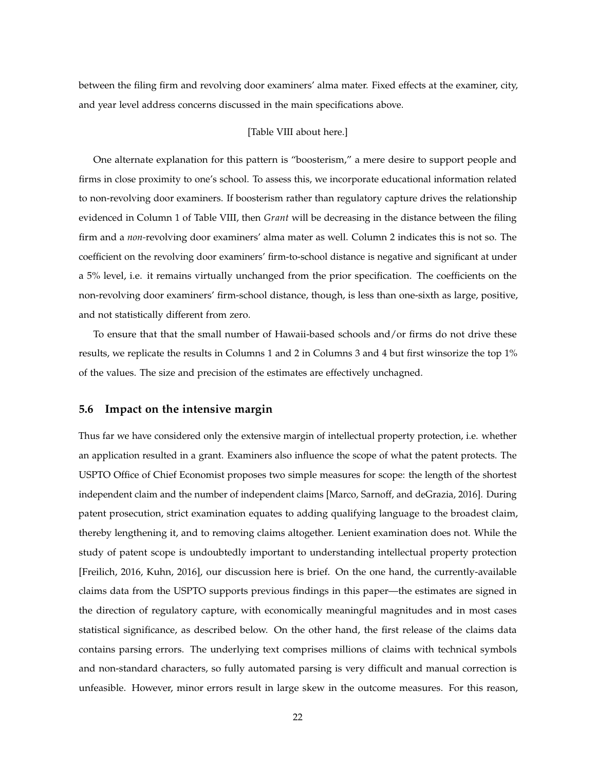between the filing firm and revolving door examiners' alma mater. Fixed effects at the examiner, city, and year level address concerns discussed in the main specifications above.

### [Table VIII about here.]

One alternate explanation for this pattern is "boosterism," a mere desire to support people and firms in close proximity to one's school. To assess this, we incorporate educational information related to non-revolving door examiners. If boosterism rather than regulatory capture drives the relationship evidenced in Column 1 of Table VIII, then *Grant* will be decreasing in the distance between the filing firm and a *non-*revolving door examiners' alma mater as well. Column 2 indicates this is not so. The coefficient on the revolving door examiners' firm-to-school distance is negative and significant at under a 5% level, i.e. it remains virtually unchanged from the prior specification. The coefficients on the non-revolving door examiners' firm-school distance, though, is less than one-sixth as large, positive, and not statistically different from zero.

To ensure that that the small number of Hawaii-based schools and/or firms do not drive these results, we replicate the results in Columns 1 and 2 in Columns 3 and 4 but first winsorize the top 1% of the values. The size and precision of the estimates are effectively unchagned.

### **5.6 Impact on the intensive margin**

Thus far we have considered only the extensive margin of intellectual property protection, i.e. whether an application resulted in a grant. Examiners also influence the scope of what the patent protects. The USPTO Office of Chief Economist proposes two simple measures for scope: the length of the shortest independent claim and the number of independent claims [Marco, Sarnoff, and deGrazia, 2016]. During patent prosecution, strict examination equates to adding qualifying language to the broadest claim, thereby lengthening it, and to removing claims altogether. Lenient examination does not. While the study of patent scope is undoubtedly important to understanding intellectual property protection [Freilich, 2016, Kuhn, 2016], our discussion here is brief. On the one hand, the currently-available claims data from the USPTO supports previous findings in this paper—the estimates are signed in the direction of regulatory capture, with economically meaningful magnitudes and in most cases statistical significance, as described below. On the other hand, the first release of the claims data contains parsing errors. The underlying text comprises millions of claims with technical symbols and non-standard characters, so fully automated parsing is very difficult and manual correction is unfeasible. However, minor errors result in large skew in the outcome measures. For this reason,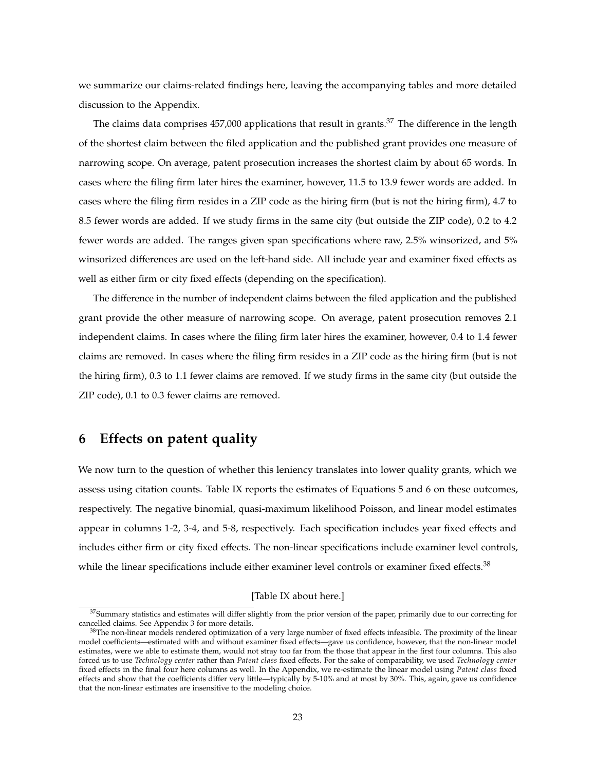we summarize our claims-related findings here, leaving the accompanying tables and more detailed discussion to the Appendix.

The claims data comprises  $457,000$  applications that result in grants.<sup>37</sup> The difference in the length of the shortest claim between the filed application and the published grant provides one measure of narrowing scope. On average, patent prosecution increases the shortest claim by about 65 words. In cases where the filing firm later hires the examiner, however, 11.5 to 13.9 fewer words are added. In cases where the filing firm resides in a ZIP code as the hiring firm (but is not the hiring firm), 4.7 to 8.5 fewer words are added. If we study firms in the same city (but outside the ZIP code), 0.2 to 4.2 fewer words are added. The ranges given span specifications where raw, 2.5% winsorized, and 5% winsorized differences are used on the left-hand side. All include year and examiner fixed effects as well as either firm or city fixed effects (depending on the specification).

The difference in the number of independent claims between the filed application and the published grant provide the other measure of narrowing scope. On average, patent prosecution removes 2.1 independent claims. In cases where the filing firm later hires the examiner, however, 0.4 to 1.4 fewer claims are removed. In cases where the filing firm resides in a ZIP code as the hiring firm (but is not the hiring firm), 0.3 to 1.1 fewer claims are removed. If we study firms in the same city (but outside the ZIP code), 0.1 to 0.3 fewer claims are removed.

## **6 Effects on patent quality**

We now turn to the question of whether this leniency translates into lower quality grants, which we assess using citation counts. Table IX reports the estimates of Equations 5 and 6 on these outcomes, respectively. The negative binomial, quasi-maximum likelihood Poisson, and linear model estimates appear in columns 1-2, 3-4, and 5-8, respectively. Each specification includes year fixed effects and includes either firm or city fixed effects. The non-linear specifications include examiner level controls, while the linear specifications include either examiner level controls or examiner fixed effects.<sup>38</sup>

### [Table IX about here.]

<sup>&</sup>lt;sup>37</sup>Summary statistics and estimates will differ slightly from the prior version of the paper, primarily due to our correcting for cancelled claims. See Appendix 3 for more details.

<sup>&</sup>lt;sup>38</sup>The non-linear models rendered optimization of a very large number of fixed effects infeasible. The proximity of the linear model coefficients—estimated with and without examiner fixed effects—gave us confidence, however, that the non-linear model estimates, were we able to estimate them, would not stray too far from the those that appear in the first four columns. This also forced us to use *Technology center* rather than *Patent class* fixed effects. For the sake of comparability, we used *Technology center* fixed effects in the final four here columns as well. In the Appendix, we re-estimate the linear model using *Patent class* fixed effects and show that the coefficients differ very little—typically by 5-10% and at most by 30%. This, again, gave us confidence that the non-linear estimates are insensitive to the modeling choice.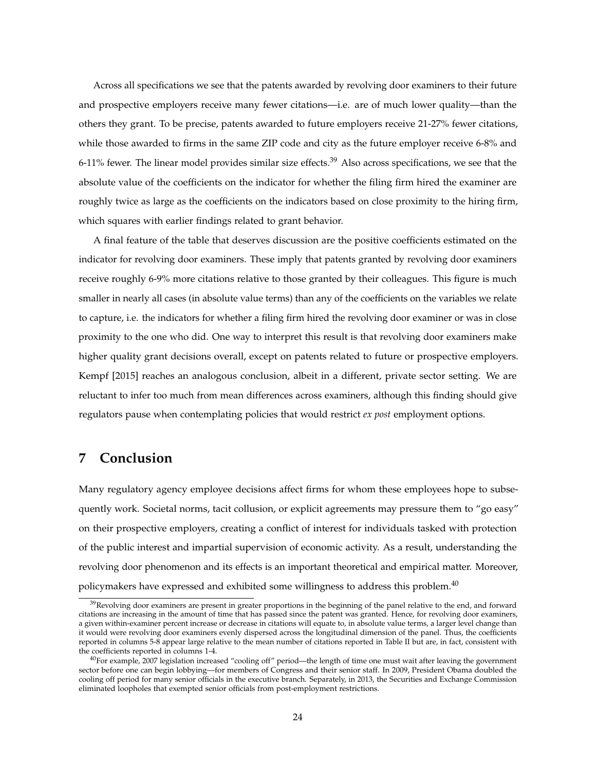Across all specifications we see that the patents awarded by revolving door examiners to their future and prospective employers receive many fewer citations—i.e. are of much lower quality—than the others they grant. To be precise, patents awarded to future employers receive 21-27% fewer citations, while those awarded to firms in the same ZIP code and city as the future employer receive 6-8% and 6-11% fewer. The linear model provides similar size effects.<sup>39</sup> Also across specifications, we see that the absolute value of the coefficients on the indicator for whether the filing firm hired the examiner are roughly twice as large as the coefficients on the indicators based on close proximity to the hiring firm, which squares with earlier findings related to grant behavior.

A final feature of the table that deserves discussion are the positive coefficients estimated on the indicator for revolving door examiners. These imply that patents granted by revolving door examiners receive roughly 6-9% more citations relative to those granted by their colleagues. This figure is much smaller in nearly all cases (in absolute value terms) than any of the coefficients on the variables we relate to capture, i.e. the indicators for whether a filing firm hired the revolving door examiner or was in close proximity to the one who did. One way to interpret this result is that revolving door examiners make higher quality grant decisions overall, except on patents related to future or prospective employers. Kempf [2015] reaches an analogous conclusion, albeit in a different, private sector setting. We are reluctant to infer too much from mean differences across examiners, although this finding should give regulators pause when contemplating policies that would restrict *ex post* employment options.

## **7 Conclusion**

Many regulatory agency employee decisions affect firms for whom these employees hope to subsequently work. Societal norms, tacit collusion, or explicit agreements may pressure them to "go easy" on their prospective employers, creating a conflict of interest for individuals tasked with protection of the public interest and impartial supervision of economic activity. As a result, understanding the revolving door phenomenon and its effects is an important theoretical and empirical matter. Moreover, policymakers have expressed and exhibited some willingness to address this problem.<sup>40</sup>

 $39$ Revolving door examiners are present in greater proportions in the beginning of the panel relative to the end, and forward citations are increasing in the amount of time that has passed since the patent was granted. Hence, for revolving door examiners, a given within-examiner percent increase or decrease in citations will equate to, in absolute value terms, a larger level change than it would were revolving door examiners evenly dispersed across the longitudinal dimension of the panel. Thus, the coefficients reported in columns 5-8 appear large relative to the mean number of citations reported in Table II but are, in fact, consistent with the coefficients reported in columns 1-4.

<sup>40</sup>For example, 2007 legislation increased "cooling off" period—the length of time one must wait after leaving the government sector before one can begin lobbying—for members of Congress and their senior staff. In 2009, President Obama doubled the cooling off period for many senior officials in the executive branch. Separately, in 2013, the Securities and Exchange Commission eliminated loopholes that exempted senior officials from post-employment restrictions.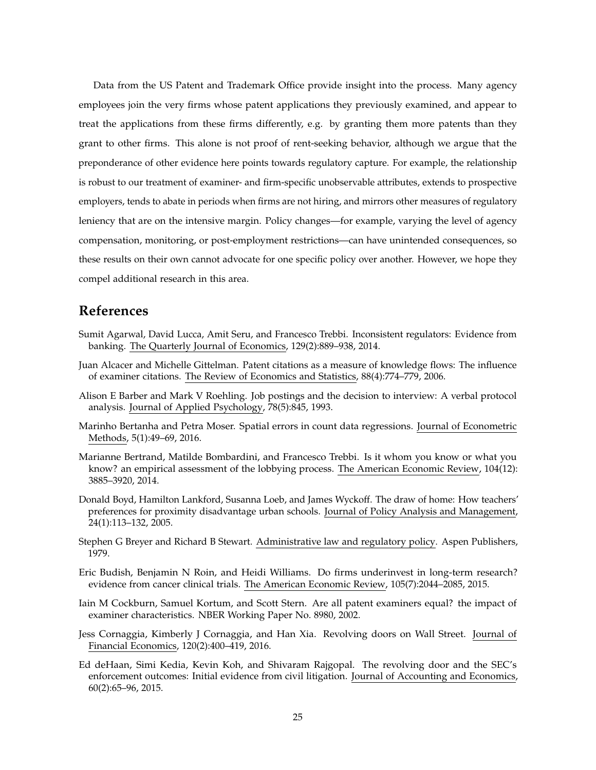Data from the US Patent and Trademark Office provide insight into the process. Many agency employees join the very firms whose patent applications they previously examined, and appear to treat the applications from these firms differently, e.g. by granting them more patents than they grant to other firms. This alone is not proof of rent-seeking behavior, although we argue that the preponderance of other evidence here points towards regulatory capture. For example, the relationship is robust to our treatment of examiner- and firm-specific unobservable attributes, extends to prospective employers, tends to abate in periods when firms are not hiring, and mirrors other measures of regulatory leniency that are on the intensive margin. Policy changes—for example, varying the level of agency compensation, monitoring, or post-employment restrictions—can have unintended consequences, so these results on their own cannot advocate for one specific policy over another. However, we hope they compel additional research in this area.

## **References**

- Sumit Agarwal, David Lucca, Amit Seru, and Francesco Trebbi. Inconsistent regulators: Evidence from banking. The Quarterly Journal of Economics, 129(2):889–938, 2014.
- Juan Alcacer and Michelle Gittelman. Patent citations as a measure of knowledge flows: The influence of examiner citations. The Review of Economics and Statistics, 88(4):774–779, 2006.
- Alison E Barber and Mark V Roehling. Job postings and the decision to interview: A verbal protocol analysis. Journal of Applied Psychology, 78(5):845, 1993.
- Marinho Bertanha and Petra Moser. Spatial errors in count data regressions. Journal of Econometric Methods, 5(1):49–69, 2016.
- Marianne Bertrand, Matilde Bombardini, and Francesco Trebbi. Is it whom you know or what you know? an empirical assessment of the lobbying process. The American Economic Review, 104(12): 3885–3920, 2014.
- Donald Boyd, Hamilton Lankford, Susanna Loeb, and James Wyckoff. The draw of home: How teachers' preferences for proximity disadvantage urban schools. Journal of Policy Analysis and Management, 24(1):113–132, 2005.
- Stephen G Breyer and Richard B Stewart. Administrative law and regulatory policy. Aspen Publishers, 1979.
- Eric Budish, Benjamin N Roin, and Heidi Williams. Do firms underinvest in long-term research? evidence from cancer clinical trials. The American Economic Review, 105(7):2044–2085, 2015.
- Iain M Cockburn, Samuel Kortum, and Scott Stern. Are all patent examiners equal? the impact of examiner characteristics. NBER Working Paper No. 8980, 2002.
- Jess Cornaggia, Kimberly J Cornaggia, and Han Xia. Revolving doors on Wall Street. Journal of Financial Economics, 120(2):400–419, 2016.
- Ed deHaan, Simi Kedia, Kevin Koh, and Shivaram Rajgopal. The revolving door and the SEC's enforcement outcomes: Initial evidence from civil litigation. Journal of Accounting and Economics, 60(2):65–96, 2015.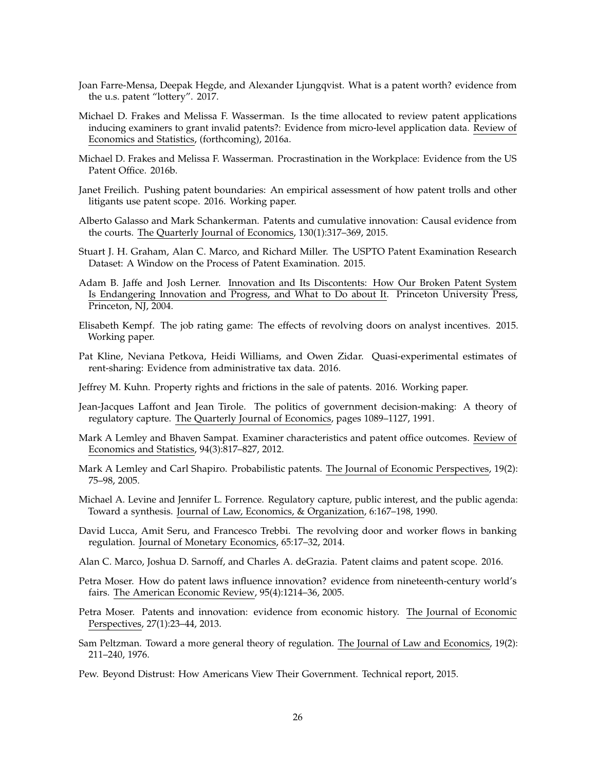- Joan Farre-Mensa, Deepak Hegde, and Alexander Ljungqvist. What is a patent worth? evidence from the u.s. patent "lottery". 2017.
- Michael D. Frakes and Melissa F. Wasserman. Is the time allocated to review patent applications inducing examiners to grant invalid patents?: Evidence from micro-level application data. Review of Economics and Statistics, (forthcoming), 2016a.
- Michael D. Frakes and Melissa F. Wasserman. Procrastination in the Workplace: Evidence from the US Patent Office. 2016b.
- Janet Freilich. Pushing patent boundaries: An empirical assessment of how patent trolls and other litigants use patent scope. 2016. Working paper.
- Alberto Galasso and Mark Schankerman. Patents and cumulative innovation: Causal evidence from the courts. The Quarterly Journal of Economics, 130(1):317–369, 2015.
- Stuart J. H. Graham, Alan C. Marco, and Richard Miller. The USPTO Patent Examination Research Dataset: A Window on the Process of Patent Examination. 2015.
- Adam B. Jaffe and Josh Lerner. Innovation and Its Discontents: How Our Broken Patent System Is Endangering Innovation and Progress, and What to Do about It. Princeton University Press, Princeton, NJ, 2004.
- Elisabeth Kempf. The job rating game: The effects of revolving doors on analyst incentives. 2015. Working paper.
- Pat Kline, Neviana Petkova, Heidi Williams, and Owen Zidar. Quasi-experimental estimates of rent-sharing: Evidence from administrative tax data. 2016.
- Jeffrey M. Kuhn. Property rights and frictions in the sale of patents. 2016. Working paper.
- Jean-Jacques Laffont and Jean Tirole. The politics of government decision-making: A theory of regulatory capture. The Quarterly Journal of Economics, pages 1089–1127, 1991.
- Mark A Lemley and Bhaven Sampat. Examiner characteristics and patent office outcomes. Review of Economics and Statistics, 94(3):817–827, 2012.
- Mark A Lemley and Carl Shapiro. Probabilistic patents. The Journal of Economic Perspectives, 19(2): 75–98, 2005.
- Michael A. Levine and Jennifer L. Forrence. Regulatory capture, public interest, and the public agenda: Toward a synthesis. Journal of Law, Economics, & Organization, 6:167–198, 1990.
- David Lucca, Amit Seru, and Francesco Trebbi. The revolving door and worker flows in banking regulation. Journal of Monetary Economics, 65:17–32, 2014.
- Alan C. Marco, Joshua D. Sarnoff, and Charles A. deGrazia. Patent claims and patent scope. 2016.
- Petra Moser. How do patent laws influence innovation? evidence from nineteenth-century world's fairs. The American Economic Review, 95(4):1214–36, 2005.
- Petra Moser. Patents and innovation: evidence from economic history. The Journal of Economic Perspectives, 27(1):23–44, 2013.
- Sam Peltzman. Toward a more general theory of regulation. The Journal of Law and Economics, 19(2): 211–240, 1976.
- Pew. Beyond Distrust: How Americans View Their Government. Technical report, 2015.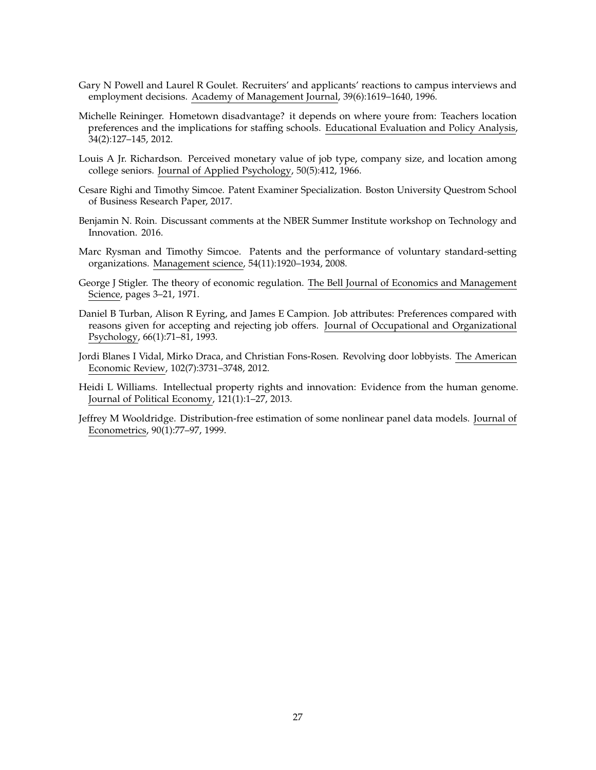- Gary N Powell and Laurel R Goulet. Recruiters' and applicants' reactions to campus interviews and employment decisions. Academy of Management Journal, 39(6):1619–1640, 1996.
- Michelle Reininger. Hometown disadvantage? it depends on where youre from: Teachers location preferences and the implications for staffing schools. Educational Evaluation and Policy Analysis, 34(2):127–145, 2012.
- Louis A Jr. Richardson. Perceived monetary value of job type, company size, and location among college seniors. Journal of Applied Psychology, 50(5):412, 1966.
- Cesare Righi and Timothy Simcoe. Patent Examiner Specialization. Boston University Questrom School of Business Research Paper, 2017.
- Benjamin N. Roin. Discussant comments at the NBER Summer Institute workshop on Technology and Innovation. 2016.
- Marc Rysman and Timothy Simcoe. Patents and the performance of voluntary standard-setting organizations. Management science, 54(11):1920–1934, 2008.
- George J Stigler. The theory of economic regulation. The Bell Journal of Economics and Management Science, pages 3–21, 1971.
- Daniel B Turban, Alison R Eyring, and James E Campion. Job attributes: Preferences compared with reasons given for accepting and rejecting job offers. Journal of Occupational and Organizational Psychology, 66(1):71–81, 1993.
- Jordi Blanes I Vidal, Mirko Draca, and Christian Fons-Rosen. Revolving door lobbyists. The American Economic Review, 102(7):3731–3748, 2012.
- Heidi L Williams. Intellectual property rights and innovation: Evidence from the human genome. Journal of Political Economy, 121(1):1–27, 2013.
- Jeffrey M Wooldridge. Distribution-free estimation of some nonlinear panel data models. Journal of Econometrics, 90(1):77–97, 1999.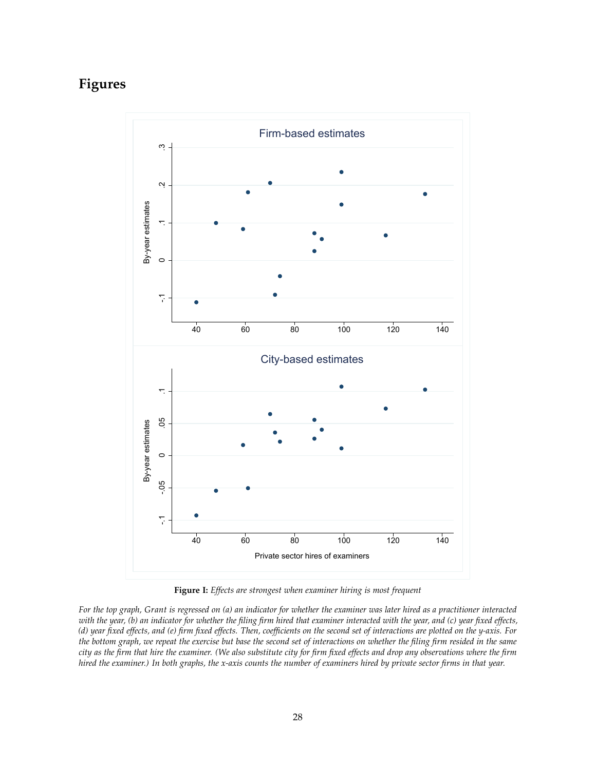# **Figures**



**Figure I:** *Effects are strongest when examiner hiring is most frequent*

*For the top graph, Grant is regressed on (a) an indicator for whether the examiner was later hired as a practitioner interacted with the year, (b) an indicator for whether the filing firm hired that examiner interacted with the year, and (c) year fixed effects, (d) year fixed effects, and (e) firm fixed effects. Then, coefficients on the second set of interactions are plotted on the y-axis. For the bottom graph, we repeat the exercise but base the second set of interactions on whether the filing firm resided in the same city as the firm that hire the examiner. (We also substitute city for firm fixed effects and drop any observations where the firm hired the examiner.) In both graphs, the x-axis counts the number of examiners hired by private sector firms in that year.*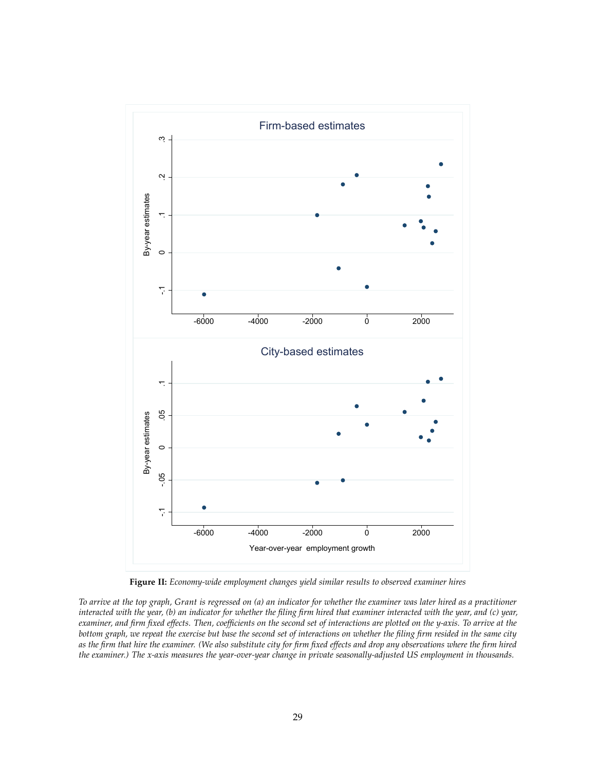

**Figure II:** *Economy-wide employment changes yield similar results to observed examiner hires*

*To arrive at the top graph, Grant is regressed on (a) an indicator for whether the examiner was later hired as a practitioner interacted with the year, (b) an indicator for whether the filing firm hired that examiner interacted with the year, and (c) year, examiner, and firm fixed effects. Then, coefficients on the second set of interactions are plotted on the y-axis. To arrive at the bottom graph, we repeat the exercise but base the second set of interactions on whether the filing firm resided in the same city as the firm that hire the examiner. (We also substitute city for firm fixed effects and drop any observations where the firm hired the examiner.) The x-axis measures the year-over-year change in private seasonally-adjusted US employment in thousands.*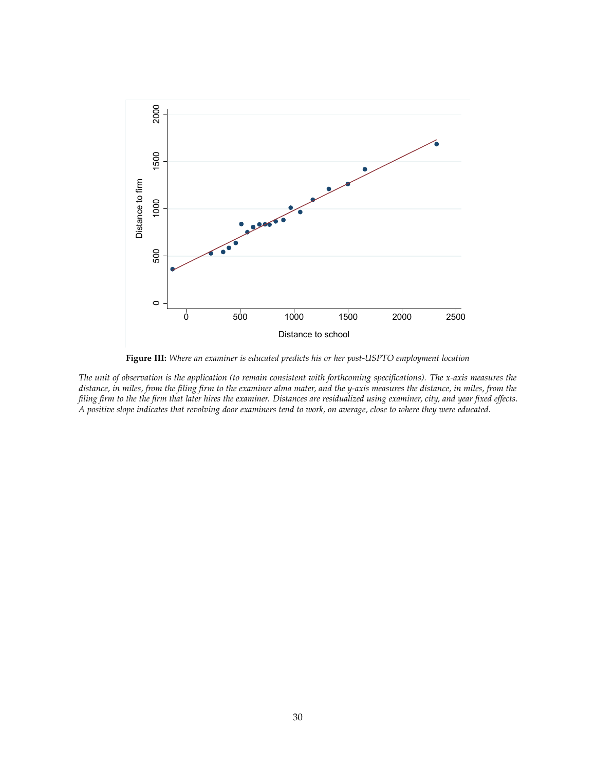

**Figure III:** *Where an examiner is educated predicts his or her post-USPTO employment location*

*The unit of observation is the application (to remain consistent with forthcoming specifications). The x-axis measures the distance, in miles, from the filing firm to the examiner alma mater, and the y-axis measures the distance, in miles, from the filing firm to the the firm that later hires the examiner. Distances are residualized using examiner, city, and year fixed effects. A positive slope indicates that revolving door examiners tend to work, on average, close to where they were educated.*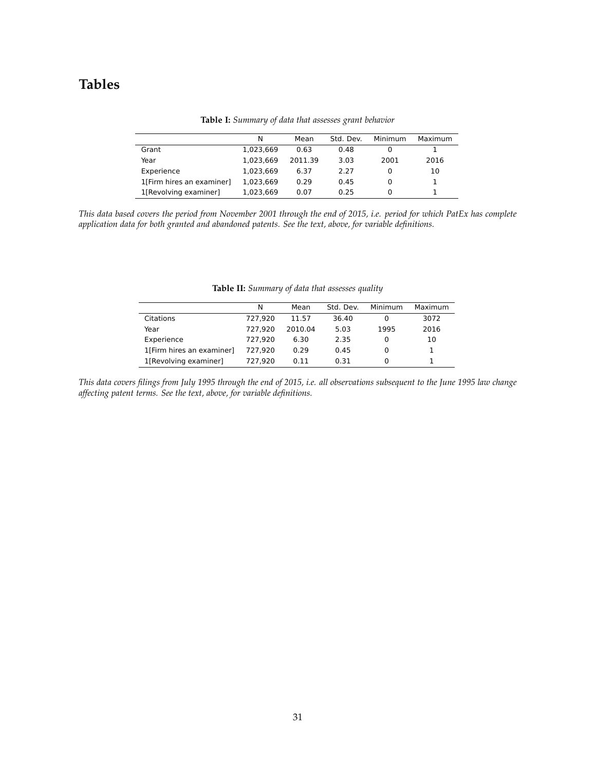# **Tables**

|                           | N         | Mean    | Std. Dev. | Minimum | Maximum |
|---------------------------|-----------|---------|-----------|---------|---------|
| Grant                     | 1,023,669 | 0.63    | 0.48      |         |         |
| Year                      | 1.023.669 | 2011.39 | 3.03      | 2001    | 2016    |
| Experience                | 1.023.669 | 6.37    | 2.27      |         | 10      |
| 1[Firm hires an examiner] | 1.023.669 | 0.29    | 0.45      | 0       |         |
| 1[Revolving examiner]     | 1,023,669 | 0.07    | 0.25      | 0       |         |

**Table I:** *Summary of data that assesses grant behavior*

*This data based covers the period from November 2001 through the end of 2015, i.e. period for which PatEx has complete application data for both granted and abandoned patents. See the text, above, for variable definitions.*

|                           | N       | Mean    | Std. Dev. | Minimum | Maximum |
|---------------------------|---------|---------|-----------|---------|---------|
| Citations                 | 727.920 | 11.57   | 36.40     | 0       | 3072    |
| Year                      | 727.920 | 2010.04 | 5.03      | 1995    | 2016    |
| Experience                | 727.920 | 6.30    | 2.35      | 0       | 10      |
| 1[Firm hires an examiner] | 727.920 | 0.29    | 0.45      | 0       |         |
| 1[Revolving examiner]     | 727.920 | 0.11    | 0.31      | 0       |         |

**Table II:** *Summary of data that assesses quality*

*This data covers filings from July 1995 through the end of 2015, i.e. all observations subsequent to the June 1995 law change affecting patent terms. See the text, above, for variable definitions.*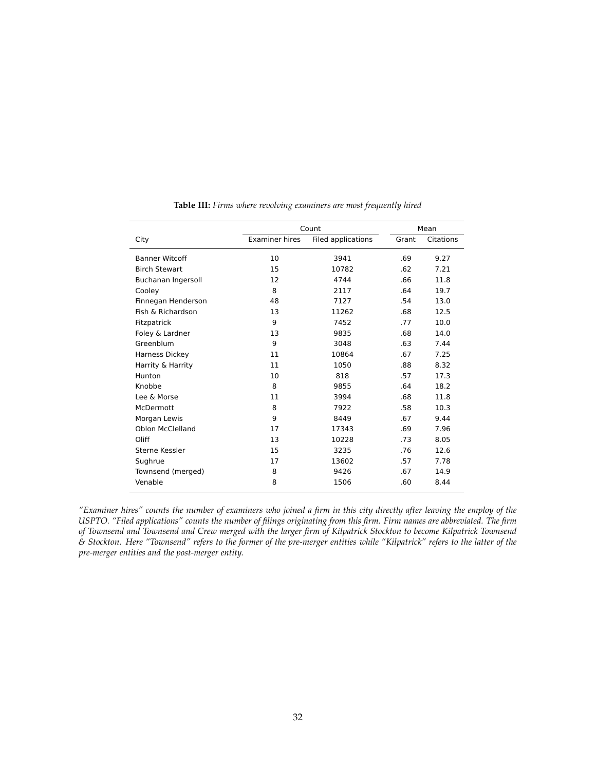|                       |                       | Count              |       | Mean      |
|-----------------------|-----------------------|--------------------|-------|-----------|
| City                  | <b>Examiner hires</b> | Filed applications | Grant | Citations |
| <b>Banner Witcoff</b> | 10                    | 3941               | .69   | 9.27      |
| <b>Birch Stewart</b>  | 15                    | 10782              | .62   | 7.21      |
| Buchanan Ingersoll    | 12                    | 4744               | .66   | 11.8      |
| Cooley                | 8                     | 2117               | .64   | 19.7      |
| Finnegan Henderson    | 48                    | 7127               | .54   | 13.0      |
| Fish & Richardson     | 13                    | 11262              | .68   | 12.5      |
| Fitzpatrick           | 9                     | 7452               | .77   | 10.0      |
| Foley & Lardner       | 13                    | 9835               | .68   | 14.0      |
| Greenblum             | 9                     | 3048               | .63   | 7.44      |
| Harness Dickey        | 11                    | 10864              | .67   | 7.25      |
| Harrity & Harrity     | 11                    | 1050               | .88   | 8.32      |
| Hunton                | 10                    | 818                | .57   | 17.3      |
| Knobbe                | 8                     | 9855               | .64   | 18.2      |
| Lee & Morse           | 11                    | 3994               | .68   | 11.8      |
| McDermott             | 8                     | 7922               | .58   | 10.3      |
| Morgan Lewis          | 9                     | 8449               | .67   | 9.44      |
| Oblon McClelland      | 17                    | 17343              | .69   | 7.96      |
| Oliff                 | 13                    | 10228              | .73   | 8.05      |
| Sterne Kessler        | 15                    | 3235               | .76   | 12.6      |
| Sughrue               | 17                    | 13602              | .57   | 7.78      |
| Townsend (merged)     | 8                     | 9426               | .67   | 14.9      |
| Venable               | 8                     | 1506               | .60   | 8.44      |

**Table III:** *Firms where revolving examiners are most frequently hired*

*"Examiner hires" counts the number of examiners who joined a firm in this city directly after leaving the employ of the USPTO. "Filed applications" counts the number of filings originating from this firm. Firm names are abbreviated. The firm of Townsend and Townsend and Crew merged with the larger firm of Kilpatrick Stockton to become Kilpatrick Townsend & Stockton. Here "Townsend" refers to the former of the pre-merger entities while "Kilpatrick" refers to the latter of the pre-merger entities and the post-merger entity.*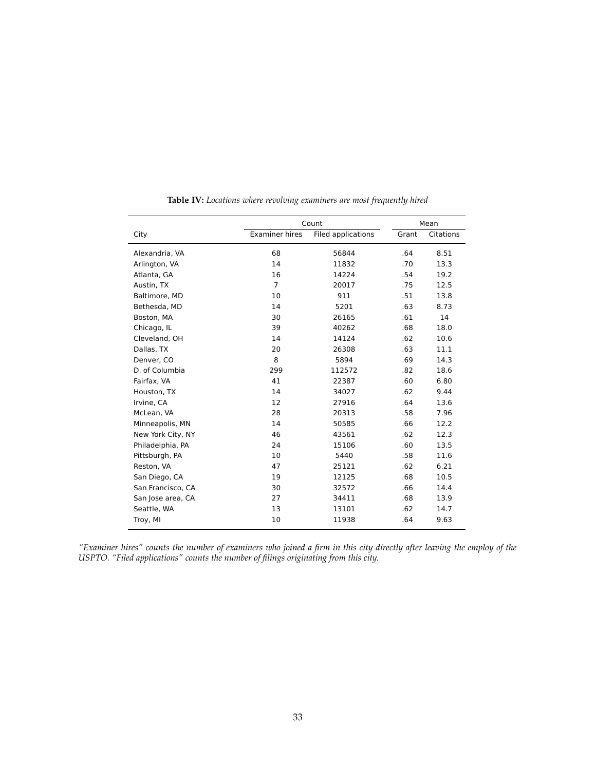|                   |                       | Count              |       | Mean             |
|-------------------|-----------------------|--------------------|-------|------------------|
| City              | <b>Examiner hires</b> | Filed applications | Grant | <b>Citations</b> |
| Alexandria, VA    | 68                    | 56844              | .64   | 8.51             |
| Arlington, VA     | 14                    | 11832              | .70   | 13.3             |
| Atlanta, GA       | 16                    | 14224              | .54   | 19.2             |
| Austin, TX        | $\overline{7}$        | 20017              | .75   | 12.5             |
| Baltimore, MD     | 10                    | 911                | .51   | 13.8             |
| Bethesda, MD      | 14                    | 5201               | .63   | 8.73             |
| Boston, MA        | 30                    | 26165              | .61   | 14               |
| Chicago, IL       | 39                    | 40262              | .68   | 18.0             |
| Cleveland, OH     | 14                    | 14124              | .62   | 10.6             |
| Dallas, TX        | 20                    | 26308              | .63   | 11.1             |
| Denver, CO        | 8                     | 5894               | .69   | 14.3             |
| D. of Columbia    | 299                   | 112572             | .82   | 18.6             |
| Fairfax, VA       | 41                    | 22387              | .60   | 6.80             |
| Houston, TX       | 14                    | 34027              | .62   | 9.44             |
| Irvine, CA        | 12                    | 27916              | .64   | 13.6             |
| McLean, VA        | 28                    | 20313              | .58   | 7.96             |
| Minneapolis, MN   | 14                    | 50585              | .66   | 12.2             |
| New York City, NY | 46                    | 43561              | .62   | 12.3             |
| Philadelphia, PA  | 24                    | 15106              | .60   | 13.5             |
| Pittsburgh, PA    | 10                    | 5440               | .58   | 11.6             |
| Reston, VA        | 47                    | 25121              | .62   | 6.21             |
| San Diego, CA     | 19                    | 12125              | .68   | 10.5             |
| San Francisco, CA | 30                    | 32572              | .66   | 14.4             |
| San Jose area, CA | 27                    | 34411              | .68   | 13.9             |
| Seattle, WA       | 13                    | 13101              | .62   | 14.7             |
| Troy, MI          | 10                    | 11938              | .64   | 9.63             |

**Table IV:** *Locations where revolving examiners are most frequently hired*

*"Examiner hires" counts the number of examiners who joined a firm in this city directly after leaving the employ of the USPTO. "Filed applications" counts the number of filings originating from this city.*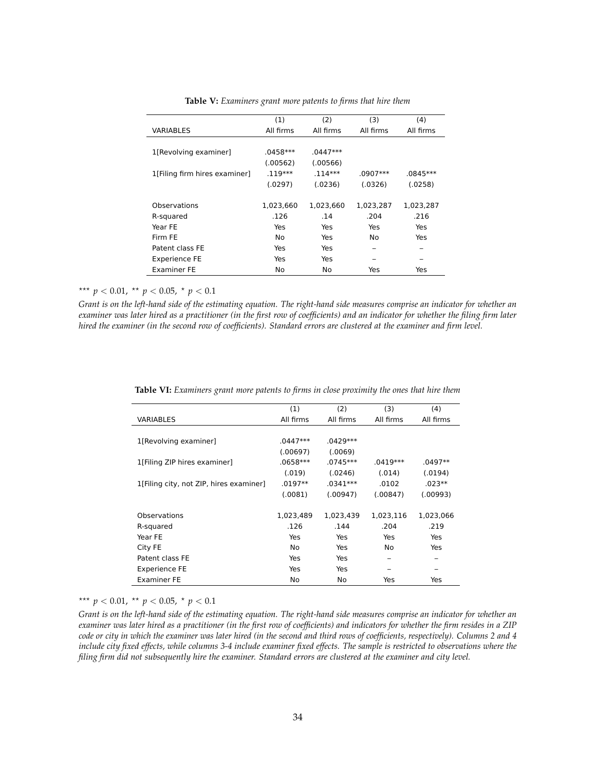|                               | (1)        | (2)        | (3)        | (4)        |
|-------------------------------|------------|------------|------------|------------|
| <b>VARIABLES</b>              | All firms  | All firms  | All firms  | All firms  |
|                               |            |            |            |            |
| 1[Revolving examiner]         | $.0458***$ | $.0447***$ |            |            |
|                               | (.00562)   | (.00566)   |            |            |
| 1[Filing firm hires examiner] | $.119***$  | $.114***$  | $.0907***$ | $.0845***$ |
|                               | (.0297)    | (.0236)    | (.0326)    | (.0258)    |
|                               |            |            |            |            |
| Observations                  | 1,023,660  | 1,023,660  | 1,023,287  | 1,023,287  |
| R-squared                     | .126       | .14        | .204       | .216       |
| Year FE                       | Yes        | Yes        | Yes        | Yes        |
| Firm FE                       | No         | Yes        | No         | Yes        |
| Patent class FE               | Yes        | Yes        |            |            |
| <b>Experience FE</b>          | Yes        | Yes        |            |            |
| <b>Examiner FE</b>            | No         | No         | Yes        | Yes        |

**Table V:** *Examiners grant more patents to firms that hire them*

\*\*\*  $p < 0.01$ , \*\*  $p < 0.05$ , \*  $p < 0.1$ 

*Grant is on the left-hand side of the estimating equation. The right-hand side measures comprise an indicator for whether an examiner was later hired as a practitioner (in the first row of coefficients) and an indicator for whether the filing firm later hired the examiner (in the second row of coefficients). Standard errors are clustered at the examiner and firm level.*

| (1)        | (2)        | (3)       | (4)       |
|------------|------------|-----------|-----------|
| All firms  | All firms  | All firms | All firms |
|            |            |           |           |
| $.0447***$ | $.0429***$ |           |           |
| (.00697)   | (.0069)    |           |           |
| $.0658***$ | .0745***   | .0419***  | .0497**   |
| (.019)     | (.0246)    | (.014)    | (.0194)   |
| $.0197**$  | .0341***   | .0102     | $.023**$  |
| (.0081)    | (.00947)   | (.00847)  | (.00993)  |
|            |            |           |           |
| 1,023,489  | 1,023,439  | 1,023,116 | 1,023,066 |
| .126       | .144       | .204      | .219      |
| Yes        | Yes        | Yes       | Yes       |
| No.        | Yes        | No        | Yes       |
| Yes        | Yes        |           |           |
| Yes        | Yes        |           |           |
| No         | No         | Yes       | Yes       |
|            |            |           |           |

**Table VI:** *Examiners grant more patents to firms in close proximity the ones that hire them*

\*\*\*  $p < 0.01$ , \*\*  $p < 0.05$ , \*  $p < 0.1$ 

*Grant is on the left-hand side of the estimating equation. The right-hand side measures comprise an indicator for whether an examiner was later hired as a practitioner (in the first row of coefficients) and indicators for whether the firm resides in a ZIP code or city in which the examiner was later hired (in the second and third rows of coefficients, respectively). Columns 2 and 4 include city fixed effects, while columns 3-4 include examiner fixed effects. The sample is restricted to observations where the filing firm did not subsequently hire the examiner. Standard errors are clustered at the examiner and city level.*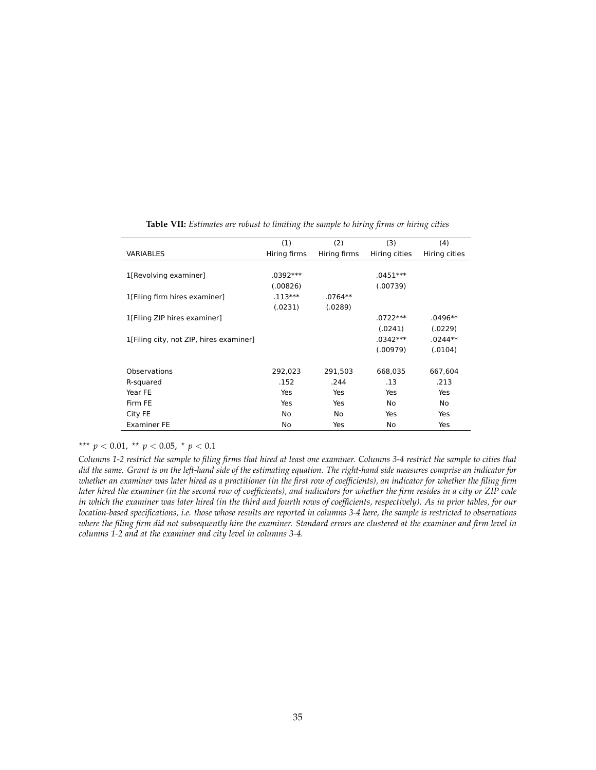|                                         | (1)          | (2)          | (3)           | (4)           |
|-----------------------------------------|--------------|--------------|---------------|---------------|
| <b>VARIABLES</b>                        | Hiring firms | Hiring firms | Hiring cities | Hiring cities |
|                                         |              |              |               |               |
| 1[Revolving examiner]                   | .0392***     |              | $.0451***$    |               |
|                                         | (.00826)     |              | (.00739)      |               |
| 1[Filing firm hires examiner]           | $.113***$    | $.0764**$    |               |               |
|                                         | (.0231)      | (.0289)      |               |               |
| 1[Filing ZIP hires examiner]            |              |              | $.0722***$    | .0496**       |
|                                         |              |              | (.0241)       | (.0229)       |
| 1[Filing city, not ZIP, hires examiner] |              |              | .0342***      | .0244**       |
|                                         |              |              | (.00979)      | (.0104)       |
|                                         |              |              |               |               |
| Observations                            | 292,023      | 291,503      | 668,035       | 667,604       |
| R-squared                               | .152         | .244         | .13           | .213          |
| Year FE                                 | Yes          | Yes          | Yes           | Yes           |
| Firm FE                                 | Yes          | Yes          | No            | No            |
| City FE                                 | No           | No           | Yes           | Yes           |
| <b>Examiner FE</b>                      | No           | Yes          | No            | Yes           |

**Table VII:** *Estimates are robust to limiting the sample to hiring firms or hiring cities*

\*\*\*  $p < 0.01$ , \*\*  $p < 0.05$ , \*  $p < 0.1$ 

*Columns 1-2 restrict the sample to filing firms that hired at least one examiner. Columns 3-4 restrict the sample to cities that did the same. Grant is on the left-hand side of the estimating equation. The right-hand side measures comprise an indicator for whether an examiner was later hired as a practitioner (in the first row of coefficients), an indicator for whether the filing firm later hired the examiner (in the second row of coefficients), and indicators for whether the firm resides in a city or ZIP code in which the examiner was later hired (in the third and fourth rows of coefficients, respectively). As in prior tables, for our location-based specifications, i.e. those whose results are reported in columns 3-4 here, the sample is restricted to observations where the filing firm did not subsequently hire the examiner. Standard errors are clustered at the examiner and firm level in columns 1-2 and at the examiner and city level in columns 3-4.*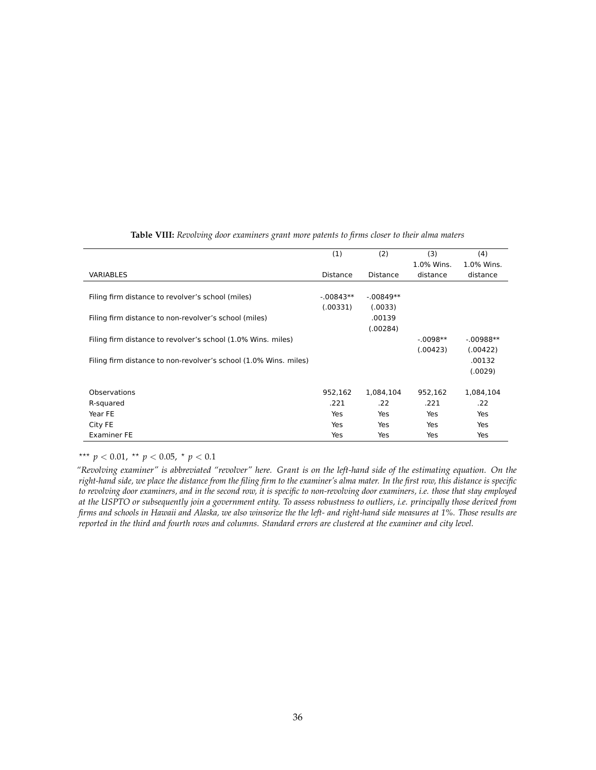|                                                                  | (1)             | (2)             | (3)        | (4)         |
|------------------------------------------------------------------|-----------------|-----------------|------------|-------------|
|                                                                  |                 |                 | 1.0% Wins. | 1.0% Wins.  |
| <b>VARIABLES</b>                                                 | <b>Distance</b> | <b>Distance</b> | distance   | distance    |
|                                                                  |                 |                 |            |             |
| Filing firm distance to revolver's school (miles)                | $-.00843**$     | $-.00849**$     |            |             |
|                                                                  | (.00331)        | (.0033)         |            |             |
| Filing firm distance to non-revolver's school (miles)            |                 | .00139          |            |             |
|                                                                  |                 | (.00284)        |            |             |
| Filing firm distance to revolver's school (1.0% Wins. miles)     |                 |                 | $-.0098**$ | $-.00988**$ |
|                                                                  |                 |                 | (.00423)   | (.00422)    |
| Filing firm distance to non-revolver's school (1.0% Wins. miles) |                 |                 |            | .00132      |
|                                                                  |                 |                 |            | (.0029)     |
|                                                                  |                 |                 |            |             |
| Observations                                                     | 952,162         | 1,084,104       | 952,162    | 1,084,104   |
| R-squared                                                        | .221            | .22             | .221       | .22         |
| Year FE                                                          | Yes             | Yes             | Yes        | Yes         |
| City FE                                                          | Yes             | Yes             | Yes        | Yes         |
| <b>Examiner FE</b>                                               | Yes             | Yes             | Yes        | Yes         |

### **Table VIII:** *Revolving door examiners grant more patents to firms closer to their alma maters*

\*\*\*  $p < 0.01$ , \*\*  $p < 0.05$ , \*  $p < 0.1$ 

*"Revolving examiner" is abbreviated "revolver" here. Grant is on the left-hand side of the estimating equation. On the right-hand side, we place the distance from the filing firm to the examiner's alma mater. In the first row, this distance is specific to revolving door examiners, and in the second row, it is specific to non-revolving door examiners, i.e. those that stay employed at the USPTO or subsequently join a government entity. To assess robustness to outliers, i.e. principally those derived from firms and schools in Hawaii and Alaska, we also winsorize the the left- and right-hand side measures at 1%. Those results are reported in the third and fourth rows and columns. Standard errors are clustered at the examiner and city level.*